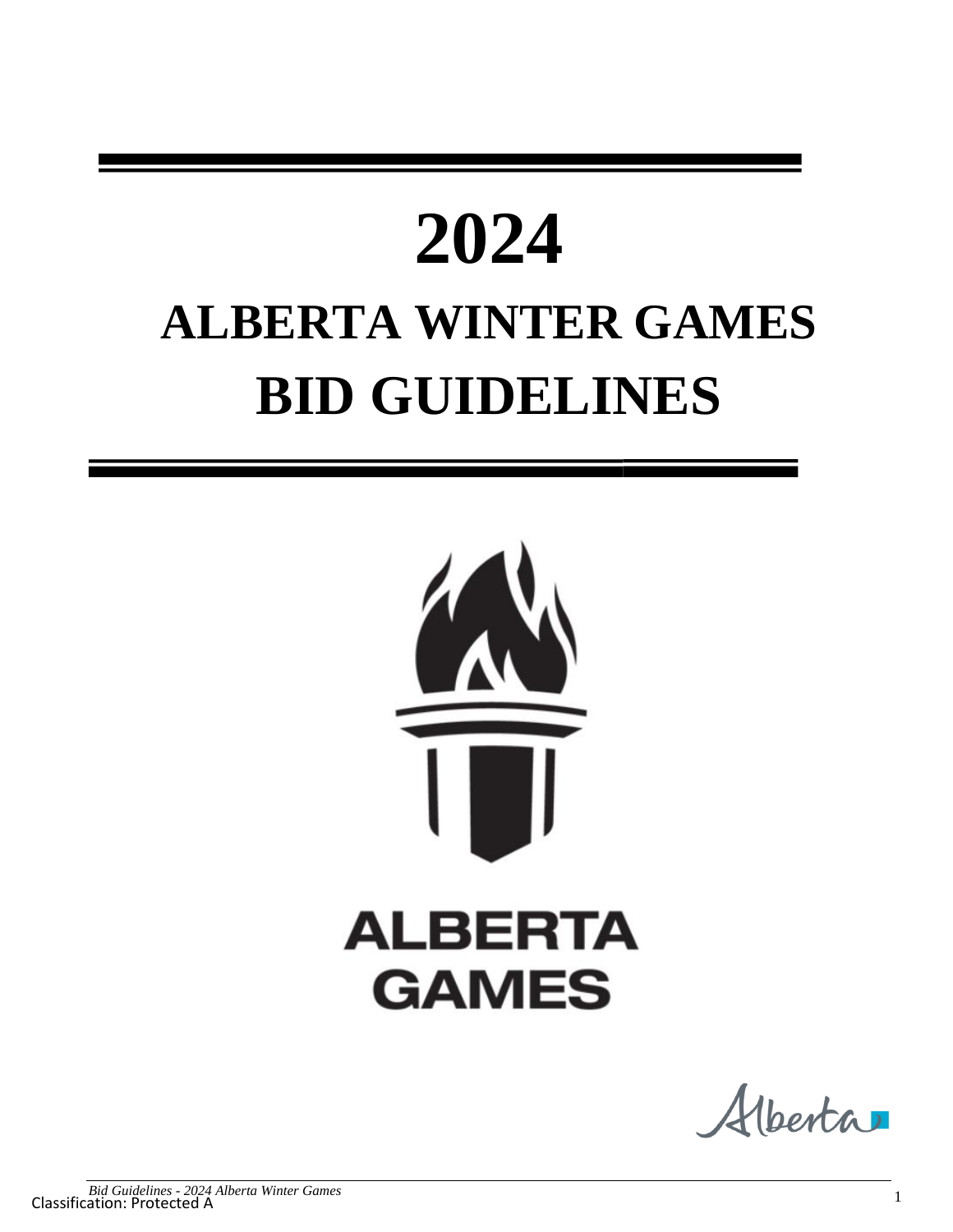# **2024 ALBERTA WINTER GAMES BID GUIDELINES**



Alberta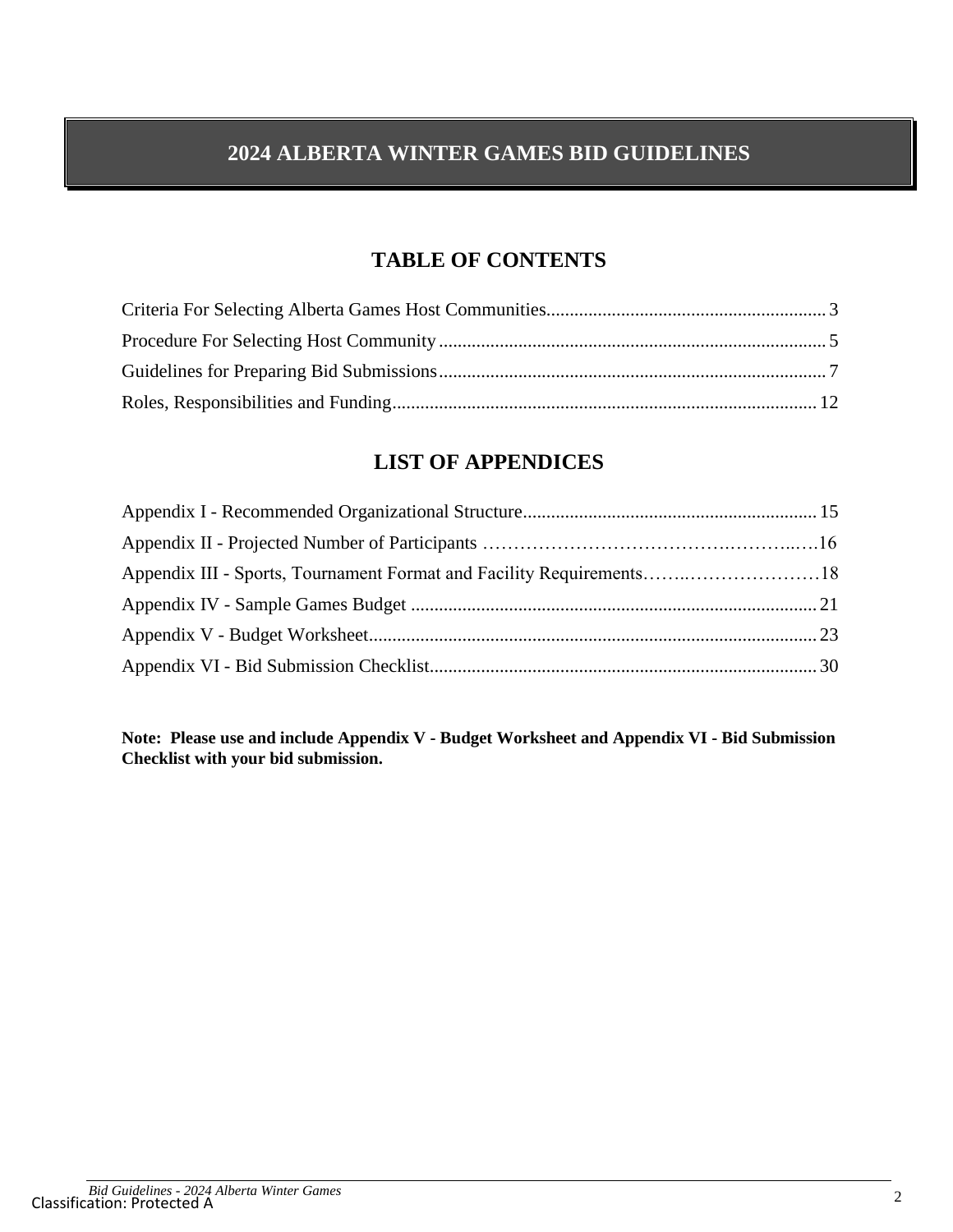# **2024 ALBERTA WINTER GAMES BID GUIDELINES**

# **TABLE OF CONTENTS**

## **LIST OF APPENDICES**

| Appendix III - Sports, Tournament Format and Facility Requirements18 |  |
|----------------------------------------------------------------------|--|
|                                                                      |  |
|                                                                      |  |
|                                                                      |  |

**Note: Please use and include Appendix V - Budget Worksheet and Appendix VI - Bid Submission Checklist with your bid submission.**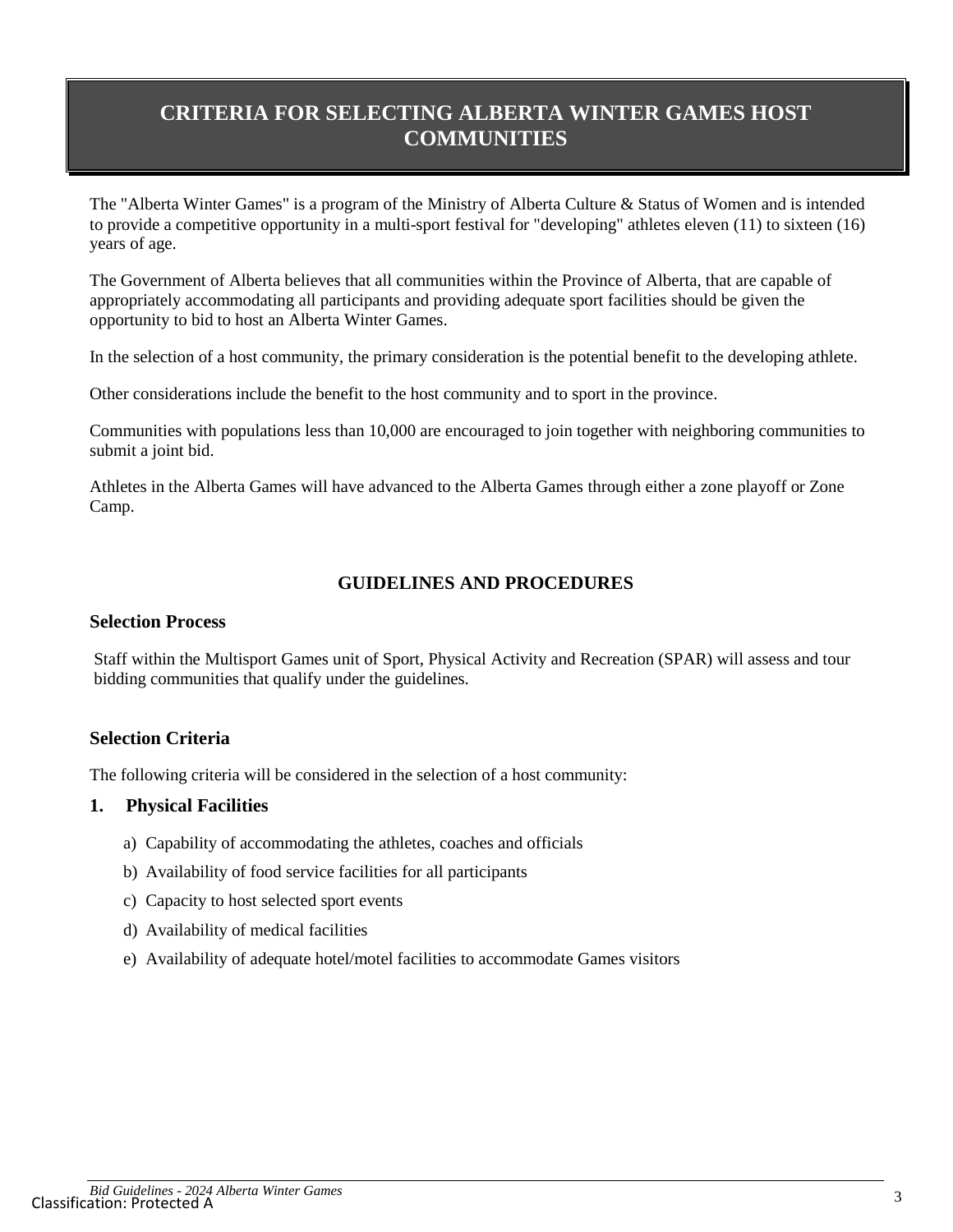# **CRITERIA FOR SELECTING ALBERTA WINTER GAMES HOST COMMUNITIES**

The "Alberta Winter Games" is a program of the Ministry of Alberta Culture & Status of Women and is intended to provide a competitive opportunity in a multi-sport festival for "developing" athletes eleven (11) to sixteen (16) years of age.

The Government of Alberta believes that all communities within the Province of Alberta, that are capable of appropriately accommodating all participants and providing adequate sport facilities should be given the opportunity to bid to host an Alberta Winter Games.

In the selection of a host community, the primary consideration is the potential benefit to the developing athlete.

Other considerations include the benefit to the host community and to sport in the province.

Communities with populations less than 10,000 are encouraged to join together with neighboring communities to submit a joint bid.

Athletes in the Alberta Games will have advanced to the Alberta Games through either a zone playoff or Zone Camp.

#### **GUIDELINES AND PROCEDURES**

#### **Selection Process**

Staff within the Multisport Games unit of Sport, Physical Activity and Recreation (SPAR) will assess and tour bidding communities that qualify under the guidelines.

#### **Selection Criteria**

The following criteria will be considered in the selection of a host community:

#### **1. Physical Facilities**

- a) Capability of accommodating the athletes, coaches and officials
- b) Availability of food service facilities for all participants
- c) Capacity to host selected sport events
- d) Availability of medical facilities
- e) Availability of adequate hotel/motel facilities to accommodate Games visitors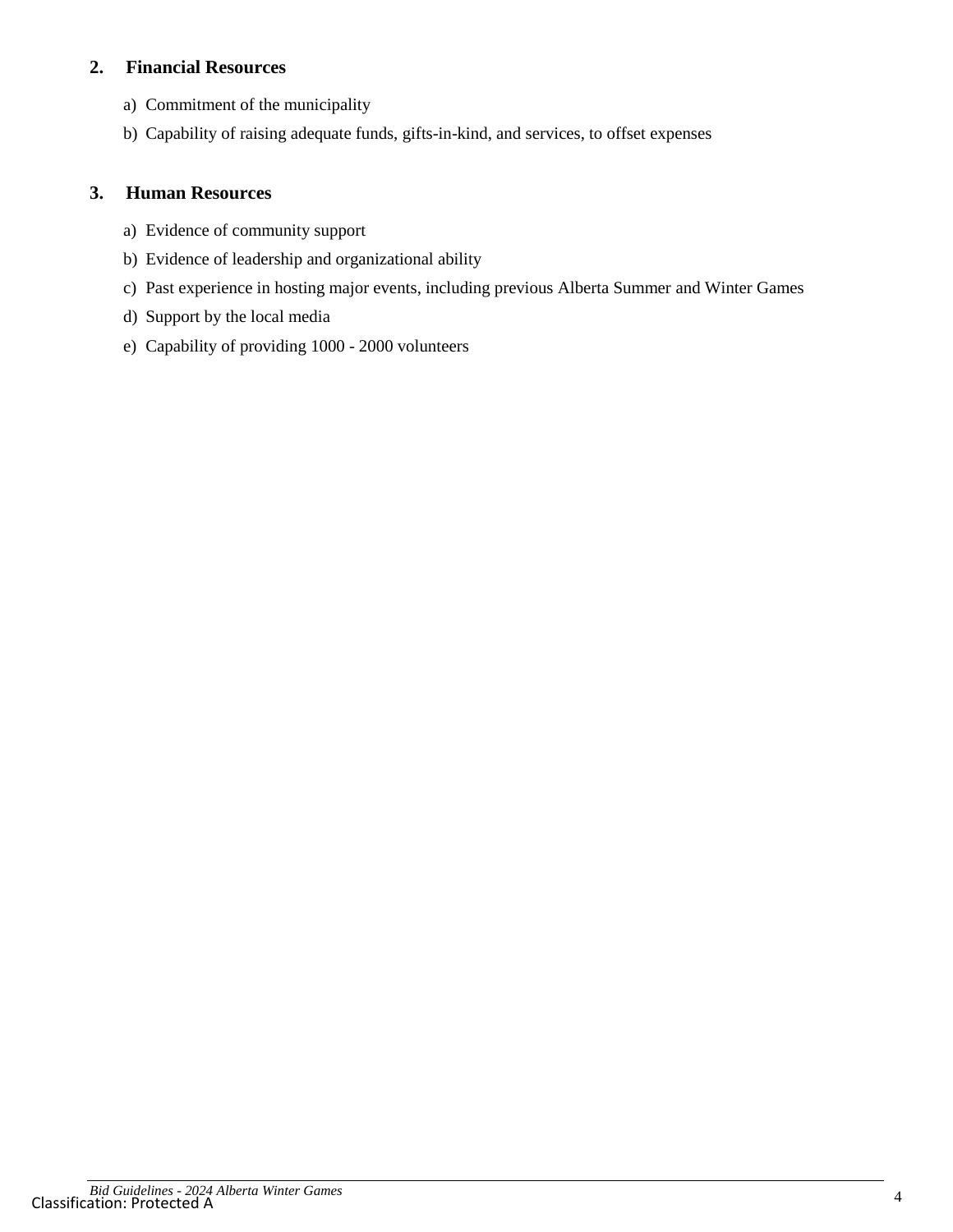## **2. Financial Resources**

- a) Commitment of the municipality
- b) Capability of raising adequate funds, gifts-in-kind, and services, to offset expenses

### **3. Human Resources**

- a) Evidence of community support
- b) Evidence of leadership and organizational ability
- c) Past experience in hosting major events, including previous Alberta Summer and Winter Games
- d) Support by the local media
- e) Capability of providing 1000 2000 volunteers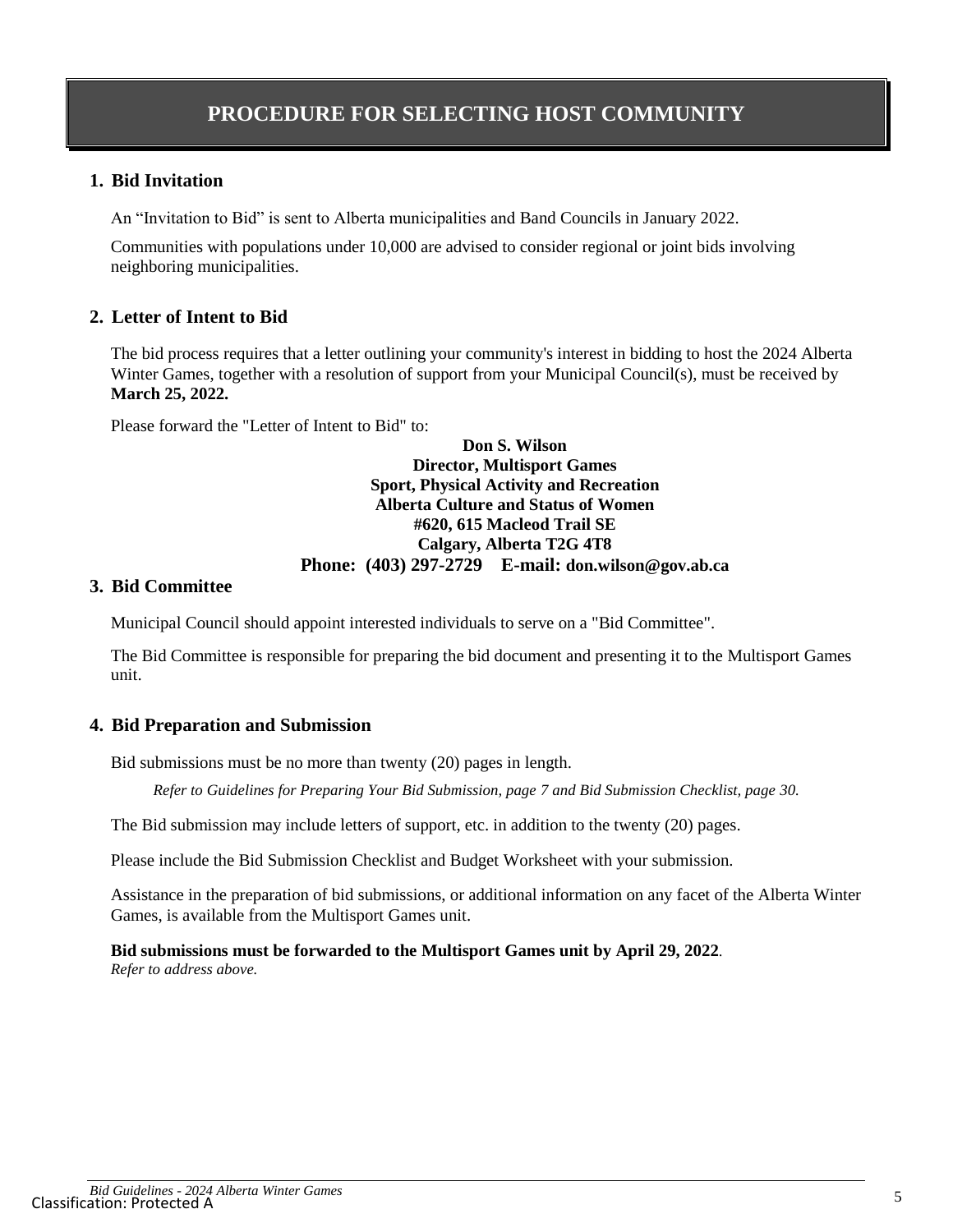#### **1. Bid Invitation**

An "Invitation to Bid" is sent to Alberta municipalities and Band Councils in January 2022.

Communities with populations under 10,000 are advised to consider regional or joint bids involving neighboring municipalities.

#### **2. Letter of Intent to Bid**

The bid process requires that a letter outlining your community's interest in bidding to host the 2024 Alberta Winter Games, together with a resolution of support from your Municipal Council(s), must be received by **March 25, 2022.**

Please forward the "Letter of Intent to Bid" to:

#### **Don S. Wilson Director, Multisport Games Sport, Physical Activity and Recreation Alberta Culture and Status of Women #620, 615 Macleod Trail SE Calgary, Alberta T2G 4T8 Phone: (403) 297-2729 E-mail: don.wilson@gov.ab.ca**

#### **3. Bid Committee**

Municipal Council should appoint interested individuals to serve on a "Bid Committee".

The Bid Committee is responsible for preparing the bid document and presenting it to the Multisport Games unit.

#### **4. Bid Preparation and Submission**

Bid submissions must be no more than twenty (20) pages in length.

*Refer to Guidelines for Preparing Your Bid Submission, page [7](#page-6-0) and Bid Submission Checklist, page 30.*

The Bid submission may include letters of support, etc. in addition to the twenty (20) pages.

Please include the Bid Submission Checklist and Budget Worksheet with your submission.

Assistance in the preparation of bid submissions, or additional information on any facet of the Alberta Winter Games, is available from the Multisport Games unit.

**Bid submissions must be forwarded to the Multisport Games unit by April 29, 2022**. *Refer to address above.*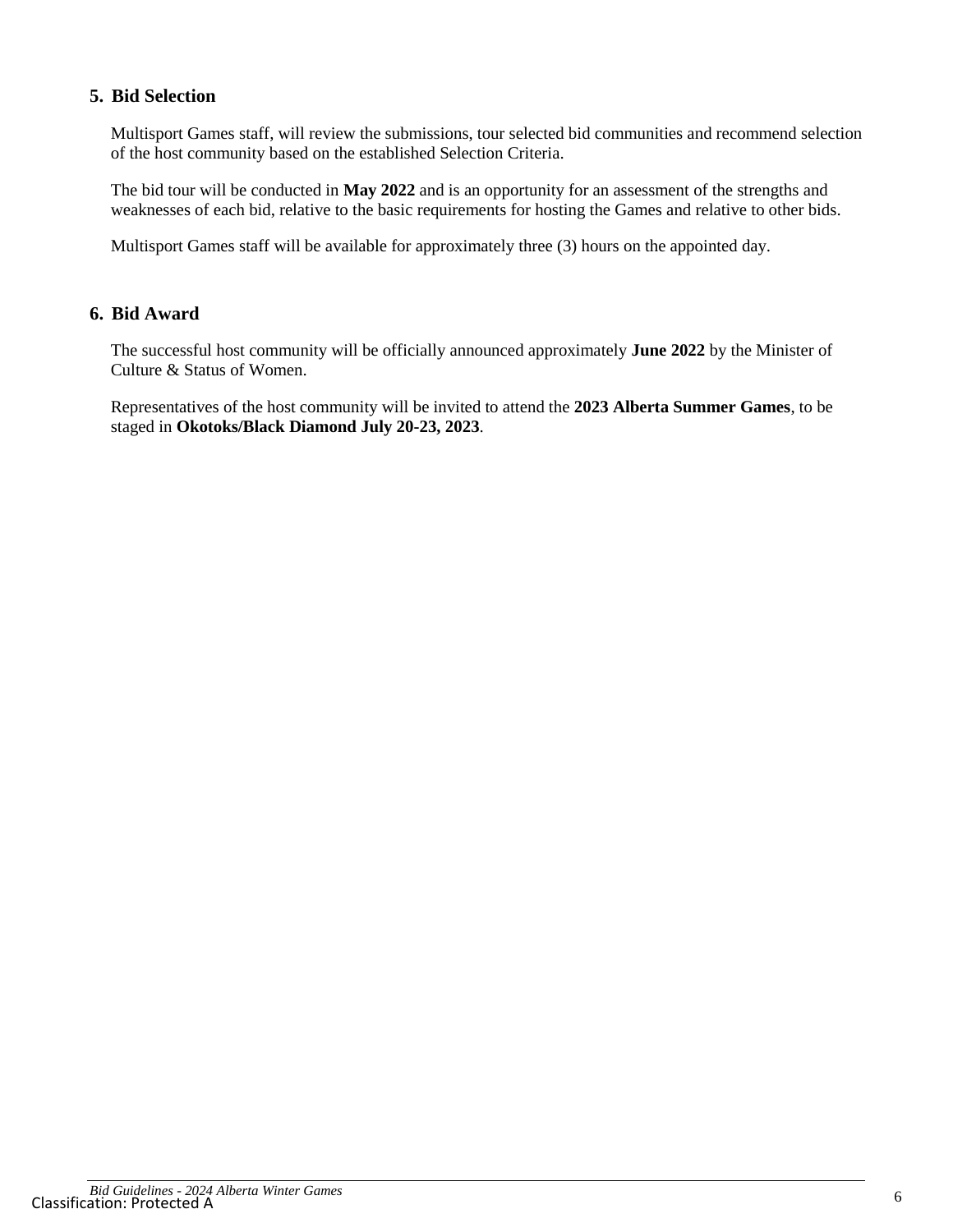#### **5. Bid Selection**

Multisport Games staff, will review the submissions, tour selected bid communities and recommend selection of the host community based on the established Selection Criteria.

The bid tour will be conducted in **May 2022** and is an opportunity for an assessment of the strengths and weaknesses of each bid, relative to the basic requirements for hosting the Games and relative to other bids.

Multisport Games staff will be available for approximately three (3) hours on the appointed day.

#### **6. Bid Award**

The successful host community will be officially announced approximately **June 2022** by the Minister of Culture & Status of Women.

Representatives of the host community will be invited to attend the **2023 Alberta Summer Games**, to be staged in **Okotoks/Black Diamond July 20-23, 2023**.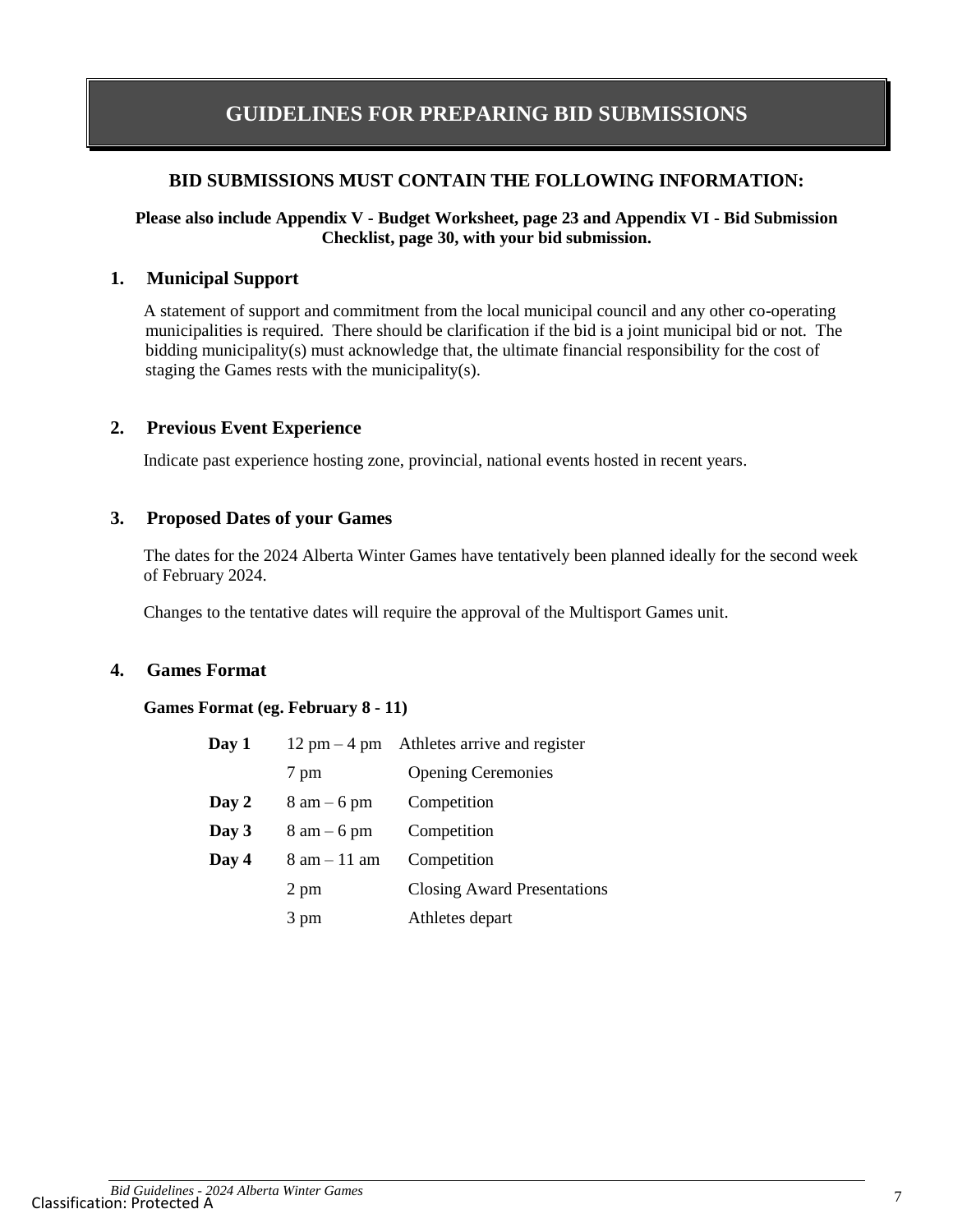## <span id="page-6-0"></span>**GUIDELINES FOR PREPARING BID SUBMISSIONS**

#### **BID SUBMISSIONS MUST CONTAIN THE FOLLOWING INFORMATION:**

#### **Please also include Appendix V - Budget Worksheet, page 23 and Appendix VI - Bid Submission Checklist, page 30, with your bid submission.**

#### **1. Municipal Support**

A statement of support and commitment from the local municipal council and any other co-operating municipalities is required. There should be clarification if the bid is a joint municipal bid or not. The bidding municipality(s) must acknowledge that, the ultimate financial responsibility for the cost of staging the Games rests with the municipality(s).

#### **2. Previous Event Experience**

Indicate past experience hosting zone, provincial, national events hosted in recent years.

#### **3. Proposed Dates of your Games**

The dates for the 2024 Alberta Winter Games have tentatively been planned ideally for the second week of February 2024.

Changes to the tentative dates will require the approval of the Multisport Games unit.

#### **4. Games Format**

#### **Games Format (eg. February 8 - 11)**

| Day 1 |                                | $12 \text{ pm} - 4 \text{ pm}$ Athletes arrive and register |
|-------|--------------------------------|-------------------------------------------------------------|
|       | 7 pm                           | <b>Opening Ceremonies</b>                                   |
| Day 2 | $8 \text{ am} - 6 \text{ pm}$  | Competition                                                 |
| Day 3 | $8 \text{ am} - 6 \text{ pm}$  | Competition                                                 |
| Day 4 | $8 \text{ am} - 11 \text{ am}$ | Competition                                                 |
|       | 2 pm                           | <b>Closing Award Presentations</b>                          |
|       | 3 pm                           | Athletes depart                                             |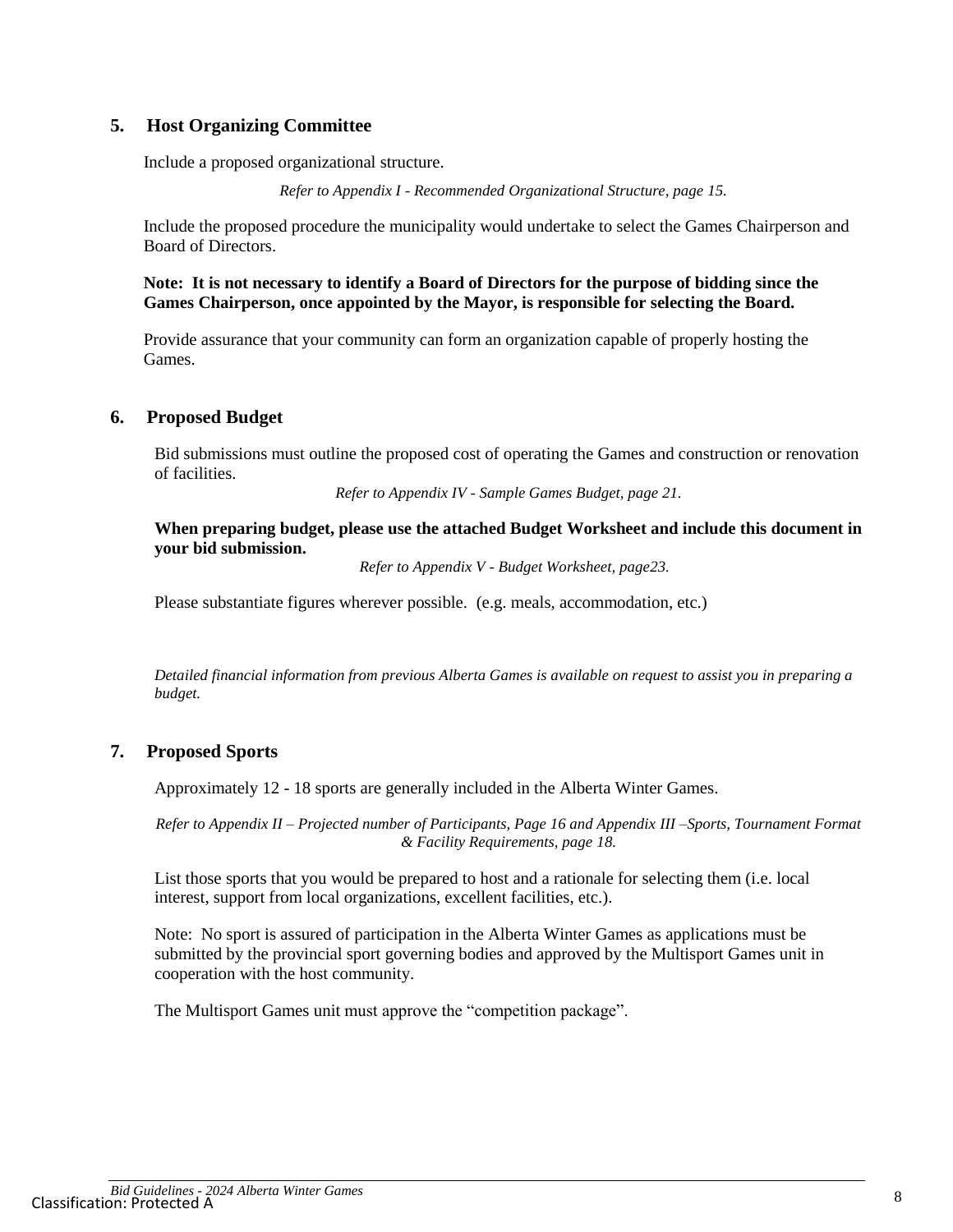#### **5. Host Organizing Committee**

Include a proposed organizational structure.

*Refer to Appendix I - Recommended Organizational Structure, page 15.*

Include the proposed procedure the municipality would undertake to select the Games Chairperson and Board of Directors.

**Note: It is not necessary to identify a Board of Directors for the purpose of bidding since the Games Chairperson, once appointed by the Mayor, is responsible for selecting the Board.**

Provide assurance that your community can form an organization capable of properly hosting the Games.

#### **6. Proposed Budget**

Bid submissions must outline the proposed cost of operating the Games and construction or renovation of facilities.

*Refer to Appendix IV - Sample Games Budget, page 21.*

**When preparing budget, please use the attached Budget Worksheet and include this document in your bid submission.**

*Refer to Appendix V - Budget Worksheet, page23.*

Please substantiate figures wherever possible. (e.g. meals, accommodation, etc.)

*Detailed financial information from previous Alberta Games is available on request to assist you in preparing a budget.*

#### **7. Proposed Sports**

Approximately 12 - 18 sports are generally included in the Alberta Winter Games.

*Refer to Appendix II – Projected number of Participants, Page 16 and Appendix III –Sports, Tournament Format & Facility Requirements, page 18.*

List those sports that you would be prepared to host and a rationale for selecting them (i.e. local interest, support from local organizations, excellent facilities, etc.).

Note: No sport is assured of participation in the Alberta Winter Games as applications must be submitted by the provincial sport governing bodies and approved by the Multisport Games unit in cooperation with the host community.

The Multisport Games unit must approve the "competition package".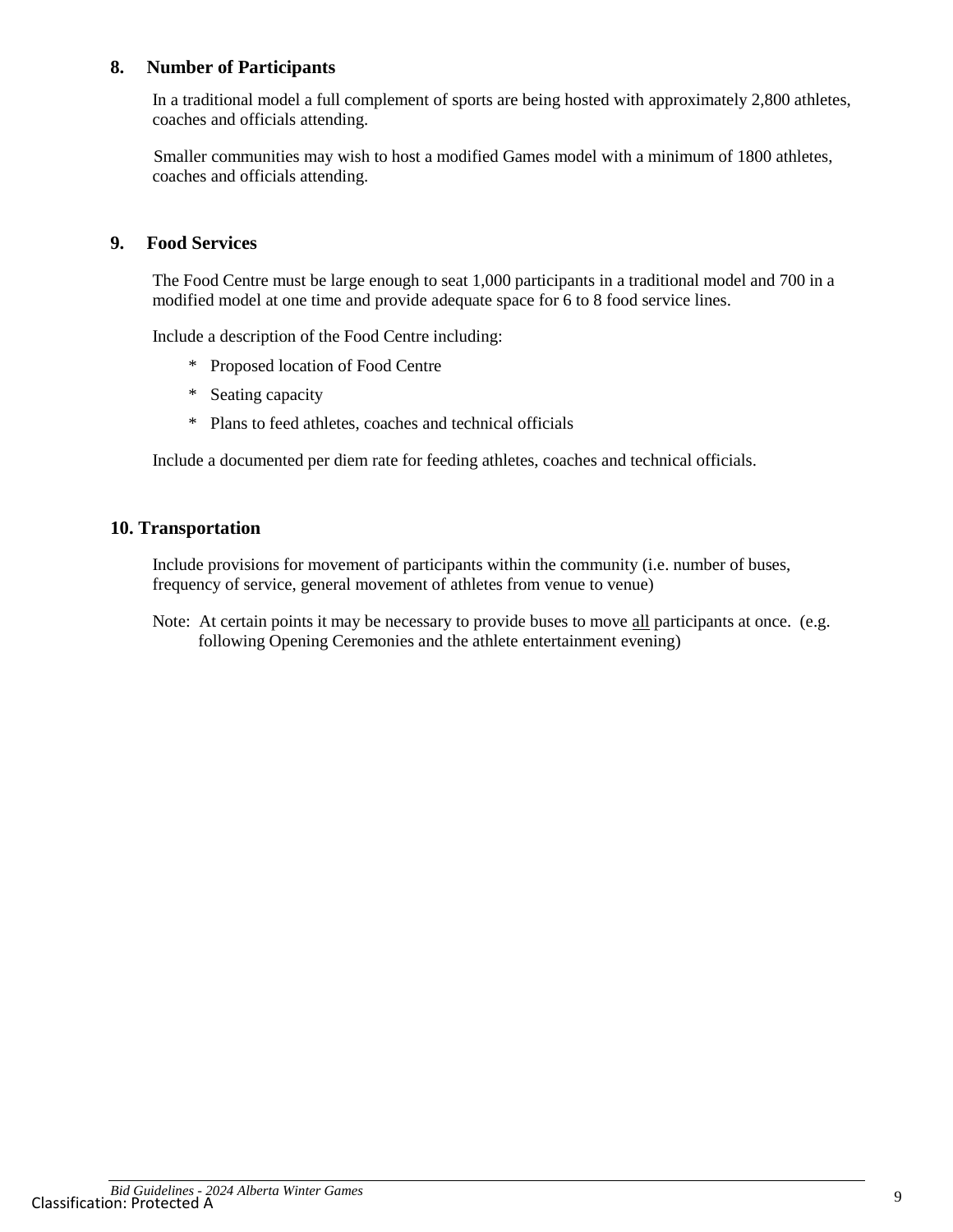#### **8. Number of Participants**

In a traditional model a full complement of sports are being hosted with approximately 2,800 athletes, coaches and officials attending.

Smaller communities may wish to host a modified Games model with a minimum of 1800 athletes, coaches and officials attending.

#### **9. Food Services**

The Food Centre must be large enough to seat 1,000 participants in a traditional model and 700 in a modified model at one time and provide adequate space for 6 to 8 food service lines.

Include a description of the Food Centre including:

- \* Proposed location of Food Centre
- \* Seating capacity
- \* Plans to feed athletes, coaches and technical officials

Include a documented per diem rate for feeding athletes, coaches and technical officials.

#### **10. Transportation**

Include provisions for movement of participants within the community (i.e. number of buses, frequency of service, general movement of athletes from venue to venue)

Note: At certain points it may be necessary to provide buses to move all participants at once. (e.g. following Opening Ceremonies and the athlete entertainment evening)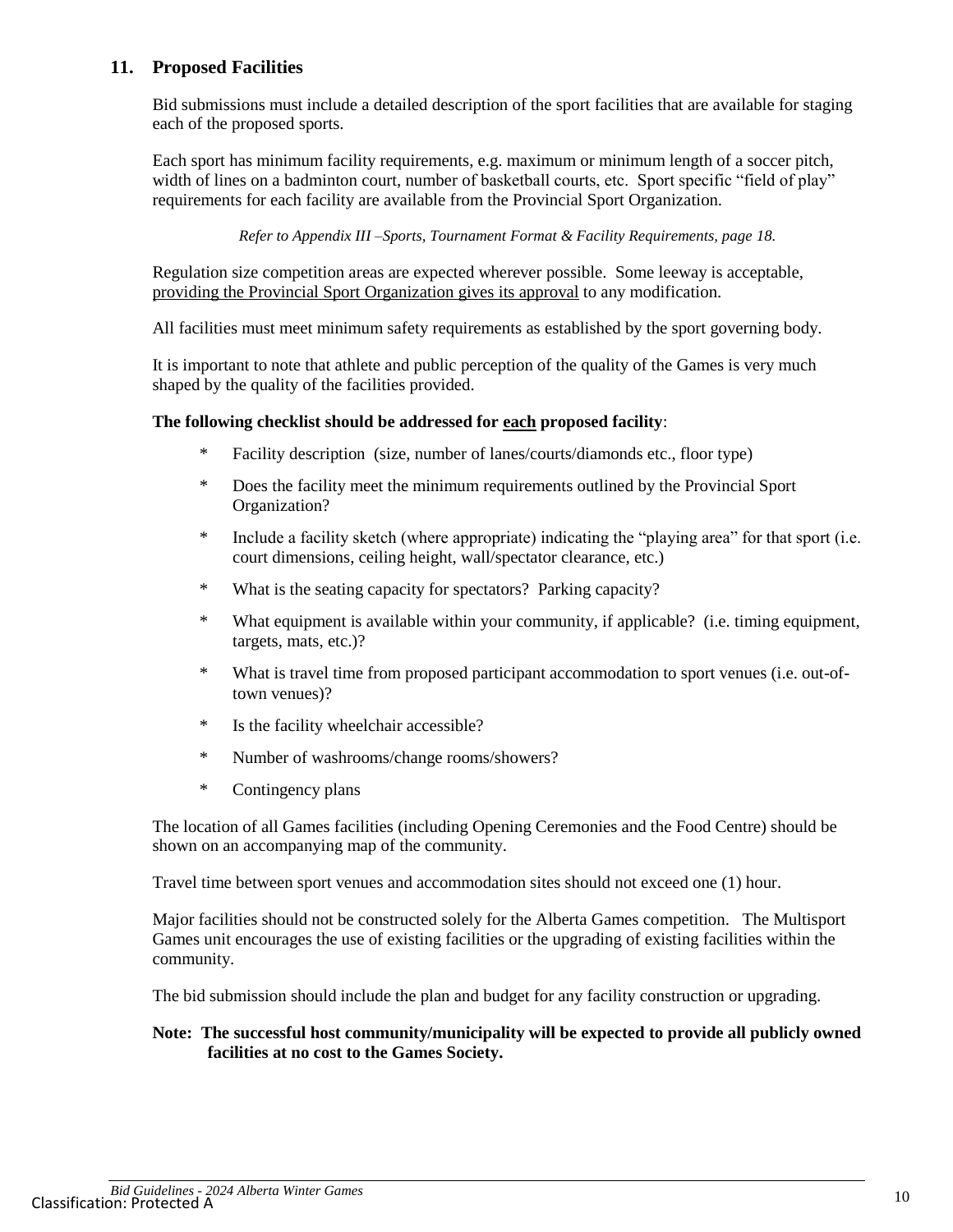#### **11. Proposed Facilities**

Bid submissions must include a detailed description of the sport facilities that are available for staging each of the proposed sports.

Each sport has minimum facility requirements, e.g. maximum or minimum length of a soccer pitch, width of lines on a badminton court, number of basketball courts, etc. Sport specific "field of play" requirements for each facility are available from the Provincial Sport Organization.

*Refer to Appendix III –Sports, Tournament Format & Facility Requirements, page 18.*

Regulation size competition areas are expected wherever possible. Some leeway is acceptable, providing the Provincial Sport Organization gives its approval to any modification.

All facilities must meet minimum safety requirements as established by the sport governing body.

It is important to note that athlete and public perception of the quality of the Games is very much shaped by the quality of the facilities provided.

#### **The following checklist should be addressed for each proposed facility**:

- \* Facility description (size, number of lanes/courts/diamonds etc., floor type)
- \* Does the facility meet the minimum requirements outlined by the Provincial Sport Organization?
- \* Include a facility sketch (where appropriate) indicating the "playing area" for that sport (i.e. court dimensions, ceiling height, wall/spectator clearance, etc.)
- \* What is the seating capacity for spectators? Parking capacity?
- \* What equipment is available within your community, if applicable? (i.e. timing equipment, targets, mats, etc.)?
- \* What is travel time from proposed participant accommodation to sport venues (i.e. out-oftown venues)?
- \* Is the facility wheelchair accessible?
- \* Number of washrooms/change rooms/showers?
- \* Contingency plans

The location of all Games facilities (including Opening Ceremonies and the Food Centre) should be shown on an accompanying map of the community.

Travel time between sport venues and accommodation sites should not exceed one (1) hour.

Major facilities should not be constructed solely for the Alberta Games competition. The Multisport Games unit encourages the use of existing facilities or the upgrading of existing facilities within the community.

The bid submission should include the plan and budget for any facility construction or upgrading.

#### **Note: The successful host community/municipality will be expected to provide all publicly owned facilities at no cost to the Games Society.**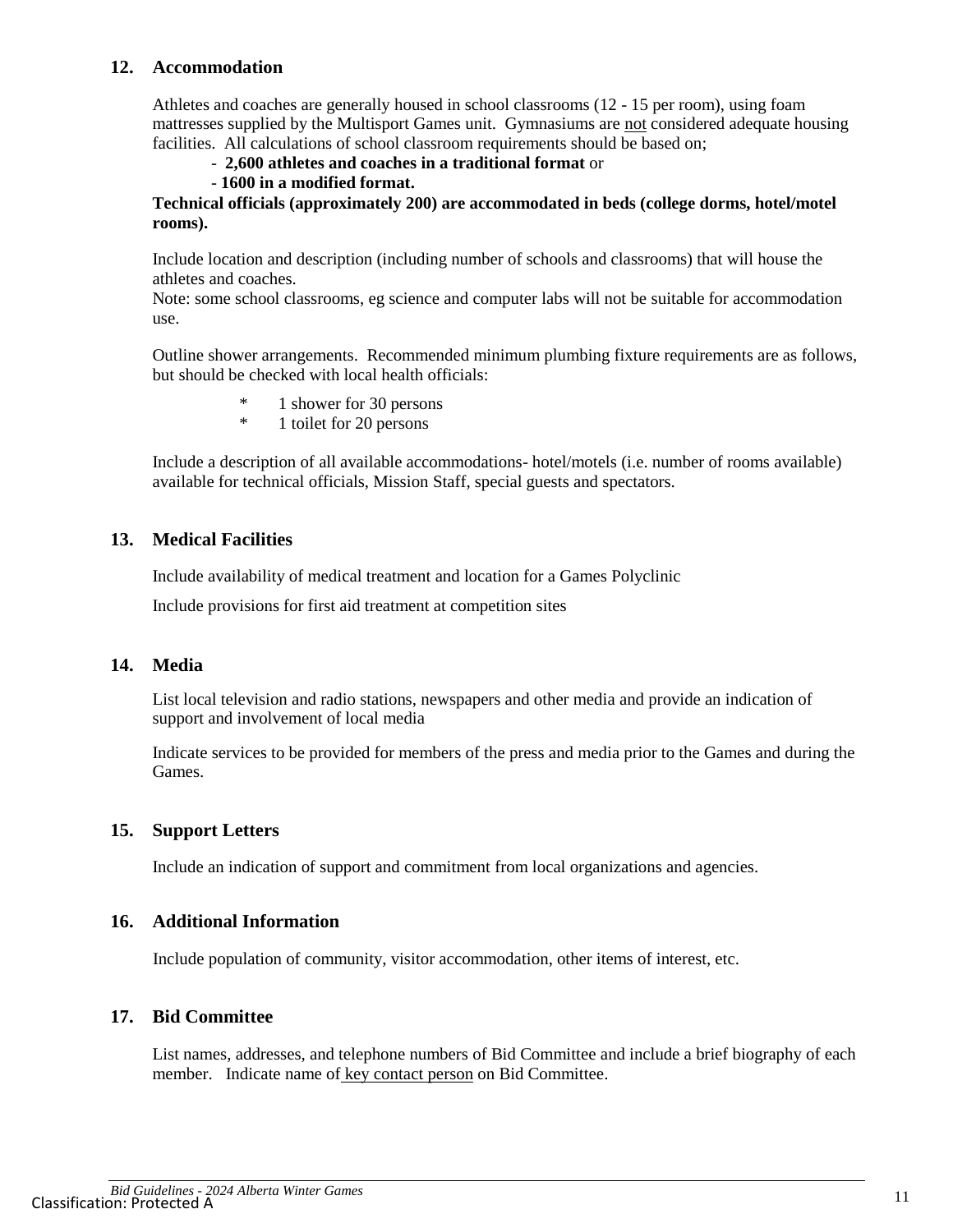#### **12. Accommodation**

Athletes and coaches are generally housed in school classrooms (12 - 15 per room), using foam mattresses supplied by the Multisport Games unit. Gymnasiums are not considered adequate housing facilities. All calculations of school classroom requirements should be based on;

- **2,600 athletes and coaches in a traditional format** or

#### - **1600 in a modified format.**

**Technical officials (approximately 200) are accommodated in beds (college dorms, hotel/motel rooms).**

Include location and description (including number of schools and classrooms) that will house the athletes and coaches.

Note: some school classrooms, eg science and computer labs will not be suitable for accommodation use.

Outline shower arrangements. Recommended minimum plumbing fixture requirements are as follows, but should be checked with local health officials:

- \* 1 shower for 30 persons
- \* 1 toilet for 20 persons

Include a description of all available accommodations- hotel/motels (i.e. number of rooms available) available for technical officials, Mission Staff, special guests and spectators.

#### **13. Medical Facilities**

Include availability of medical treatment and location for a Games Polyclinic

Include provisions for first aid treatment at competition sites

#### **14. Media**

List local television and radio stations, newspapers and other media and provide an indication of support and involvement of local media

Indicate services to be provided for members of the press and media prior to the Games and during the Games.

### **15. Support Letters**

Include an indication of support and commitment from local organizations and agencies.

#### **16. Additional Information**

Include population of community, visitor accommodation, other items of interest, etc.

#### **17. Bid Committee**

List names, addresses, and telephone numbers of Bid Committee and include a brief biography of each member. Indicate name of key contact person on Bid Committee.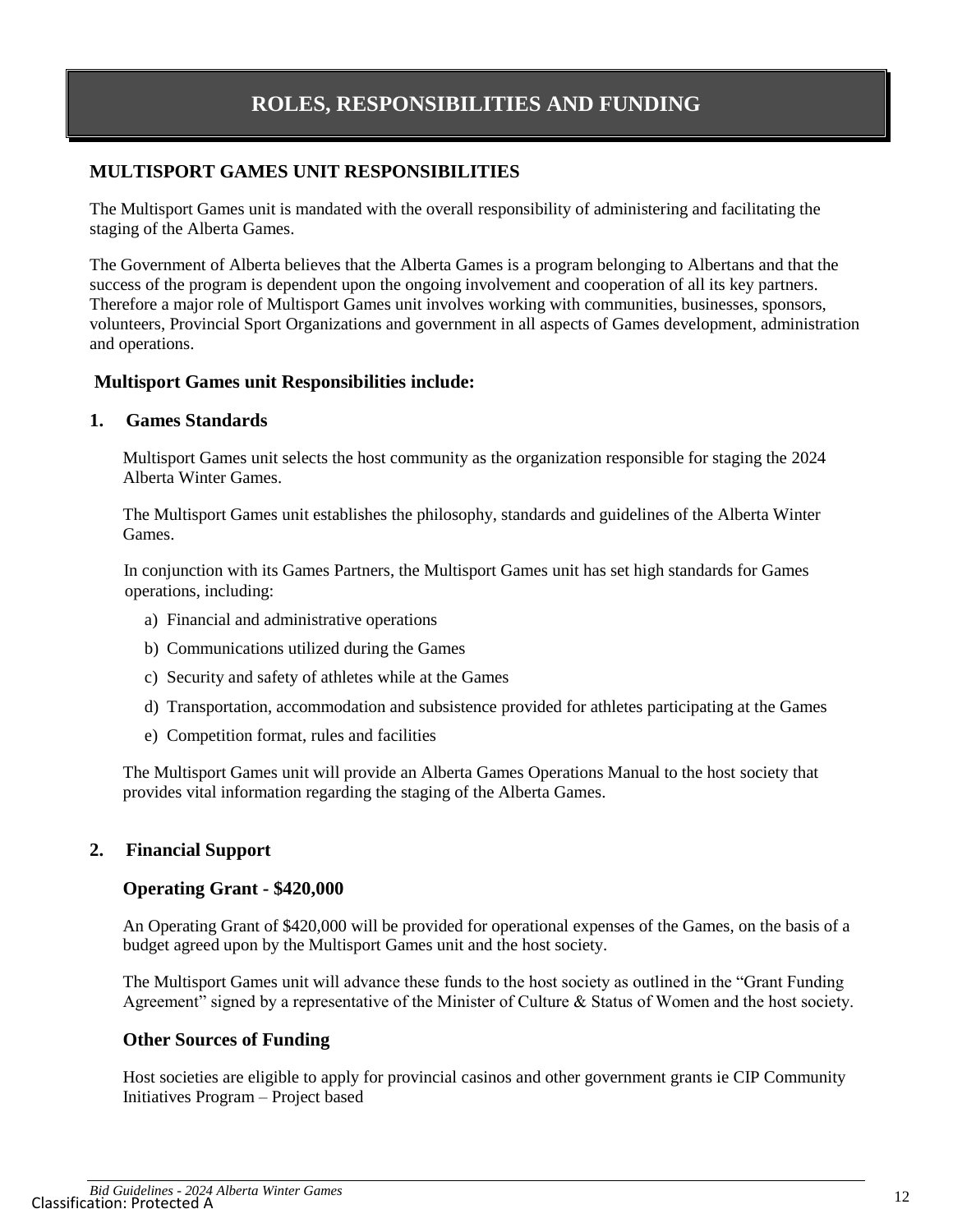### **MULTISPORT GAMES UNIT RESPONSIBILITIES**

The Multisport Games unit is mandated with the overall responsibility of administering and facilitating the staging of the Alberta Games.

The Government of Alberta believes that the Alberta Games is a program belonging to Albertans and that the success of the program is dependent upon the ongoing involvement and cooperation of all its key partners. Therefore a major role of Multisport Games unit involves working with communities, businesses, sponsors, volunteers, Provincial Sport Organizations and government in all aspects of Games development, administration and operations.

#### **Multisport Games unit Responsibilities include:**

#### **1. Games Standards**

Multisport Games unit selects the host community as the organization responsible for staging the 2024 Alberta Winter Games.

The Multisport Games unit establishes the philosophy, standards and guidelines of the Alberta Winter Games.

In conjunction with its Games Partners, the Multisport Games unit has set high standards for Games operations, including:

- a) Financial and administrative operations
- b) Communications utilized during the Games
- c) Security and safety of athletes while at the Games
- d) Transportation, accommodation and subsistence provided for athletes participating at the Games
- e) Competition format, rules and facilities

The Multisport Games unit will provide an Alberta Games Operations Manual to the host society that provides vital information regarding the staging of the Alberta Games.

### **2. Financial Support**

#### **Operating Grant - \$420,000**

An Operating Grant of \$420,000 will be provided for operational expenses of the Games, on the basis of a budget agreed upon by the Multisport Games unit and the host society.

The Multisport Games unit will advance these funds to the host society as outlined in the "Grant Funding Agreement" signed by a representative of the Minister of Culture & Status of Women and the host society.

#### **Other Sources of Funding**

Host societies are eligible to apply for provincial casinos and other government grants ie CIP Community Initiatives Program – Project based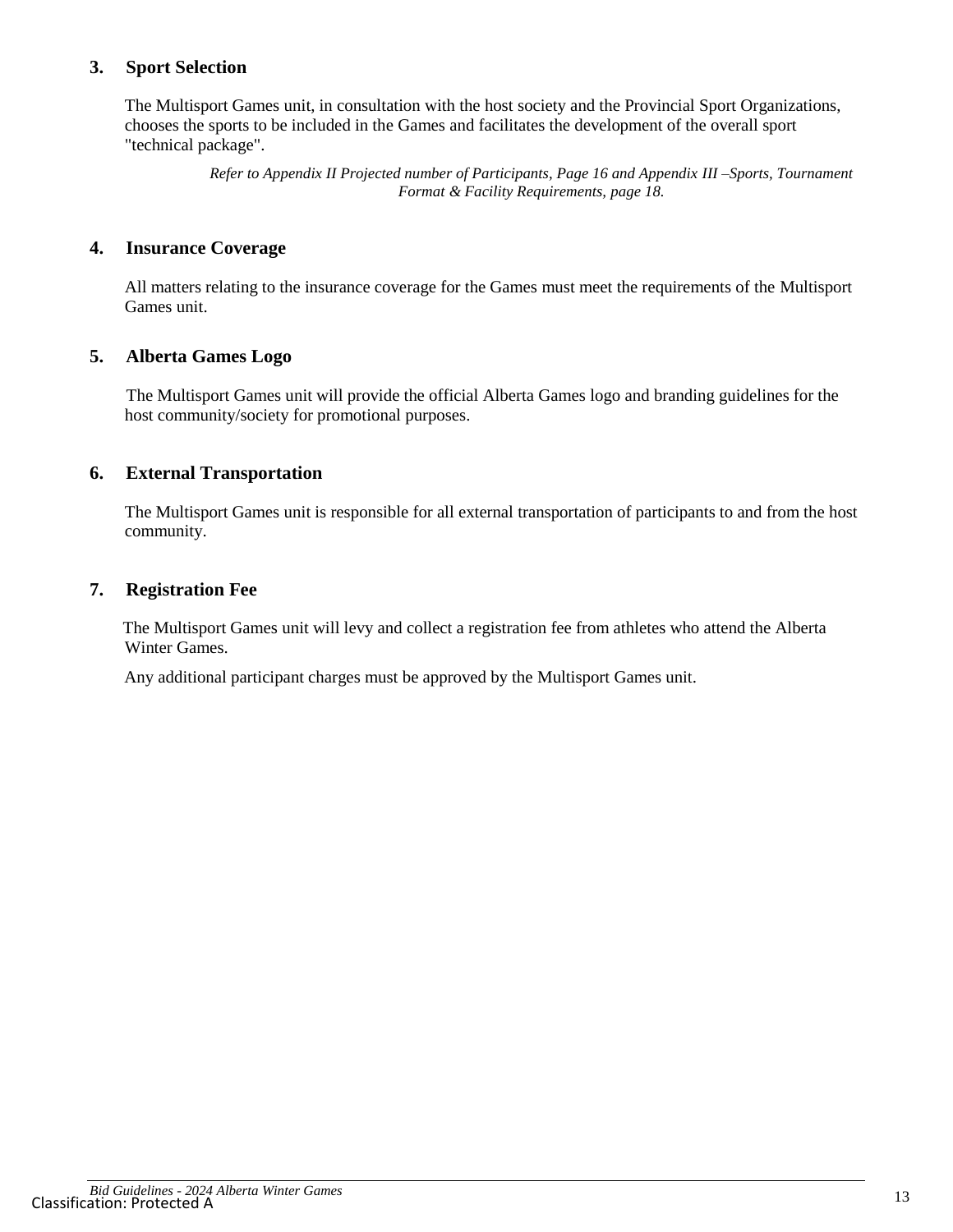#### **3. Sport Selection**

The Multisport Games unit, in consultation with the host society and the Provincial Sport Organizations, chooses the sports to be included in the Games and facilitates the development of the overall sport "technical package".

> *Refer to Appendix II Projected number of Participants, Page 16 and Appendix III –Sports, Tournament Format & Facility Requirements, page 18.*

#### **4. Insurance Coverage**

All matters relating to the insurance coverage for the Games must meet the requirements of the Multisport Games unit.

#### **5. Alberta Games Logo**

The Multisport Games unit will provide the official Alberta Games logo and branding guidelines for the host community/society for promotional purposes.

#### **6. External Transportation**

The Multisport Games unit is responsible for all external transportation of participants to and from the host community.

#### **7. Registration Fee**

The Multisport Games unit will levy and collect a registration fee from athletes who attend the Alberta Winter Games.

Any additional participant charges must be approved by the Multisport Games unit.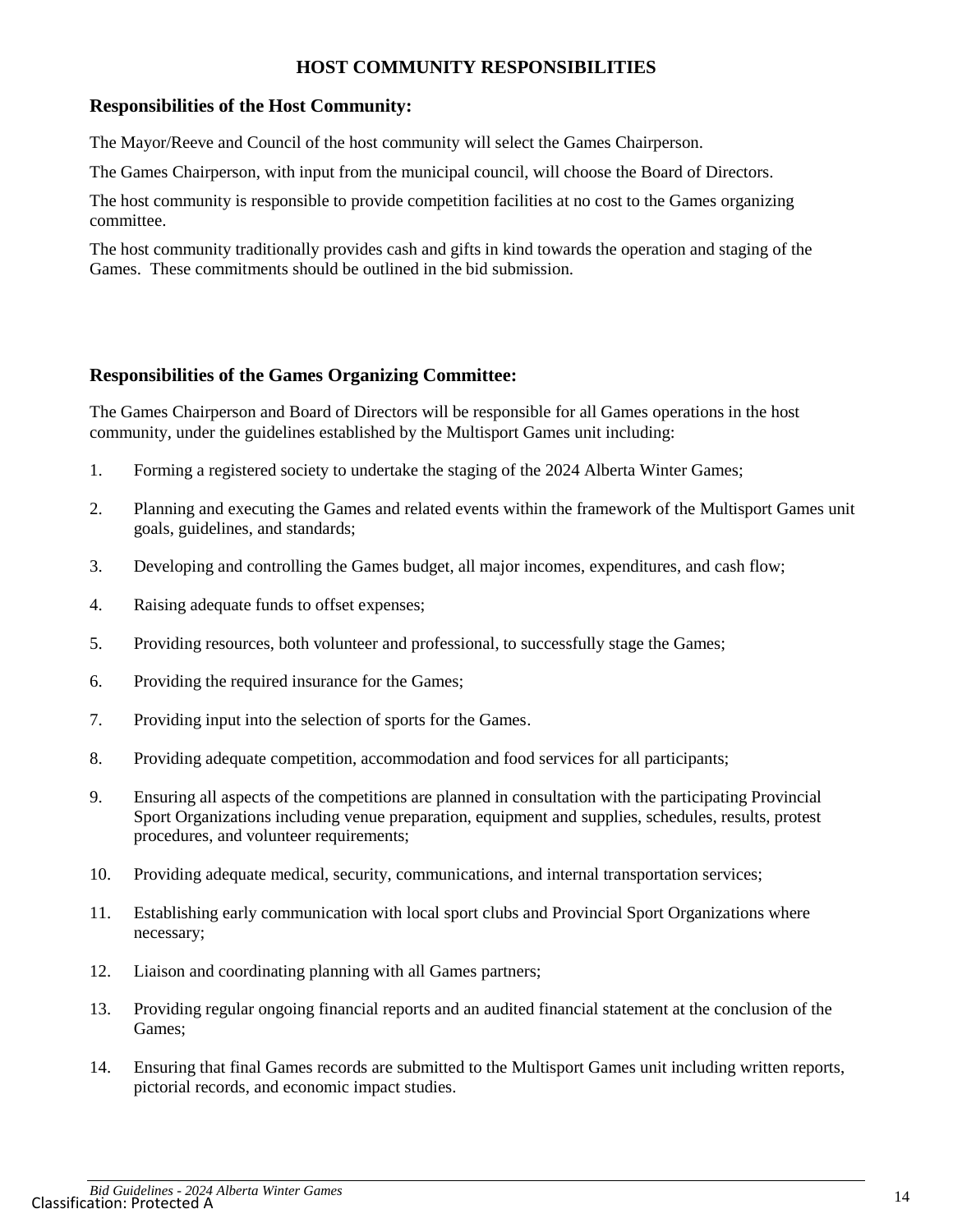### **HOST COMMUNITY RESPONSIBILITIES**

#### **Responsibilities of the Host Community:**

The Mayor/Reeve and Council of the host community will select the Games Chairperson.

The Games Chairperson, with input from the municipal council, will choose the Board of Directors.

The host community is responsible to provide competition facilities at no cost to the Games organizing committee.

The host community traditionally provides cash and gifts in kind towards the operation and staging of the Games. These commitments should be outlined in the bid submission.

#### **Responsibilities of the Games Organizing Committee:**

The Games Chairperson and Board of Directors will be responsible for all Games operations in the host community, under the guidelines established by the Multisport Games unit including:

- 1. Forming a registered society to undertake the staging of the 2024 Alberta Winter Games;
- 2. Planning and executing the Games and related events within the framework of the Multisport Games unit goals, guidelines, and standards;
- 3. Developing and controlling the Games budget, all major incomes, expenditures, and cash flow;
- 4. Raising adequate funds to offset expenses;
- 5. Providing resources, both volunteer and professional, to successfully stage the Games;
- 6. Providing the required insurance for the Games;
- 7. Providing input into the selection of sports for the Games.
- 8. Providing adequate competition, accommodation and food services for all participants;
- 9. Ensuring all aspects of the competitions are planned in consultation with the participating Provincial Sport Organizations including venue preparation, equipment and supplies, schedules, results, protest procedures, and volunteer requirements;
- 10. Providing adequate medical, security, communications, and internal transportation services;
- 11. Establishing early communication with local sport clubs and Provincial Sport Organizations where necessary;
- 12. Liaison and coordinating planning with all Games partners;
- 13. Providing regular ongoing financial reports and an audited financial statement at the conclusion of the Games;
- 14. Ensuring that final Games records are submitted to the Multisport Games unit including written reports, pictorial records, and economic impact studies.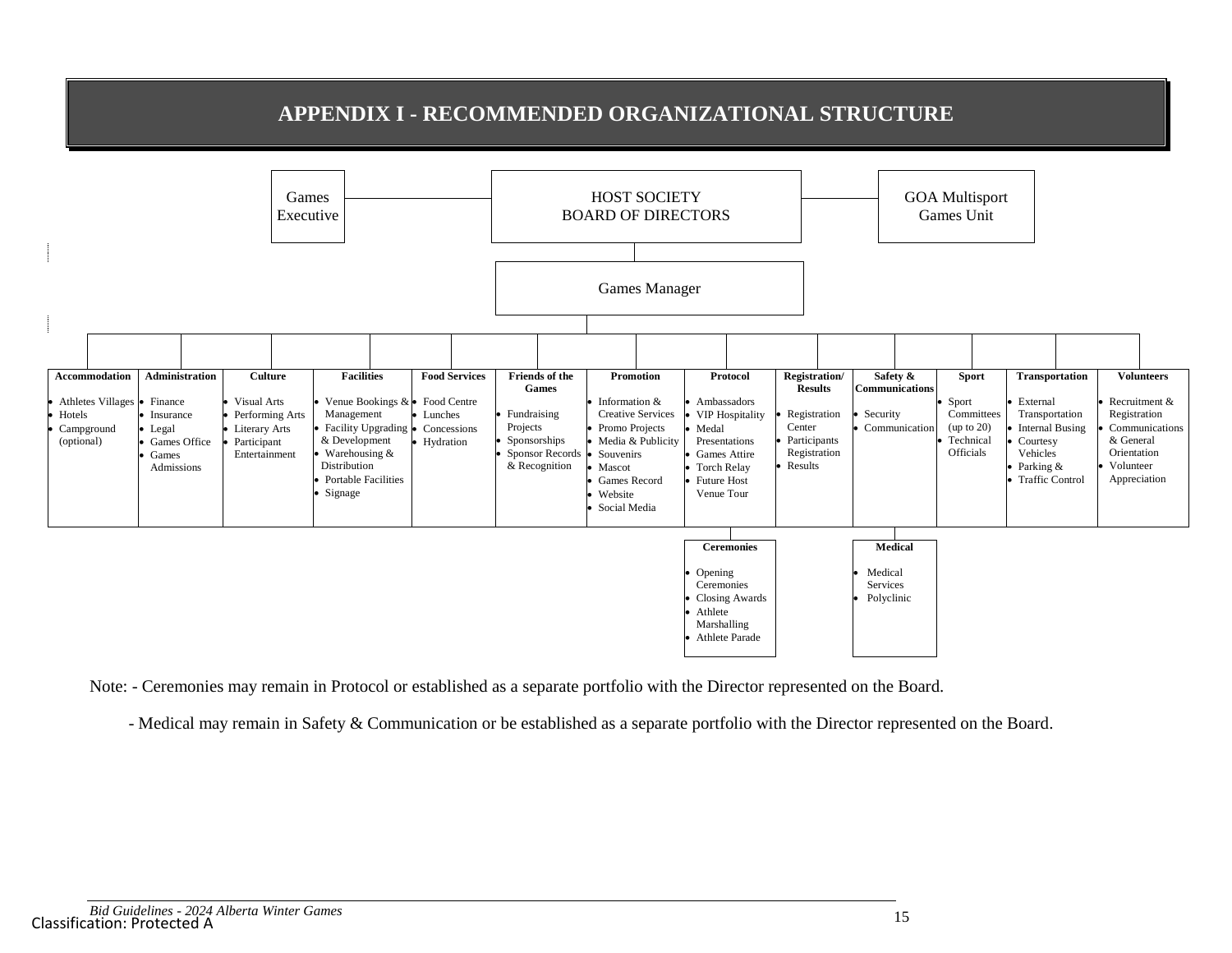# **APPENDIX I - RECOMMENDED ORGANIZATIONAL STRUCTURE**



Note: - Ceremonies may remain in Protocol or established as a separate portfolio with the Director represented on the Board.

- Medical may remain in Safety & Communication or be established as a separate portfolio with the Director represented on the Board.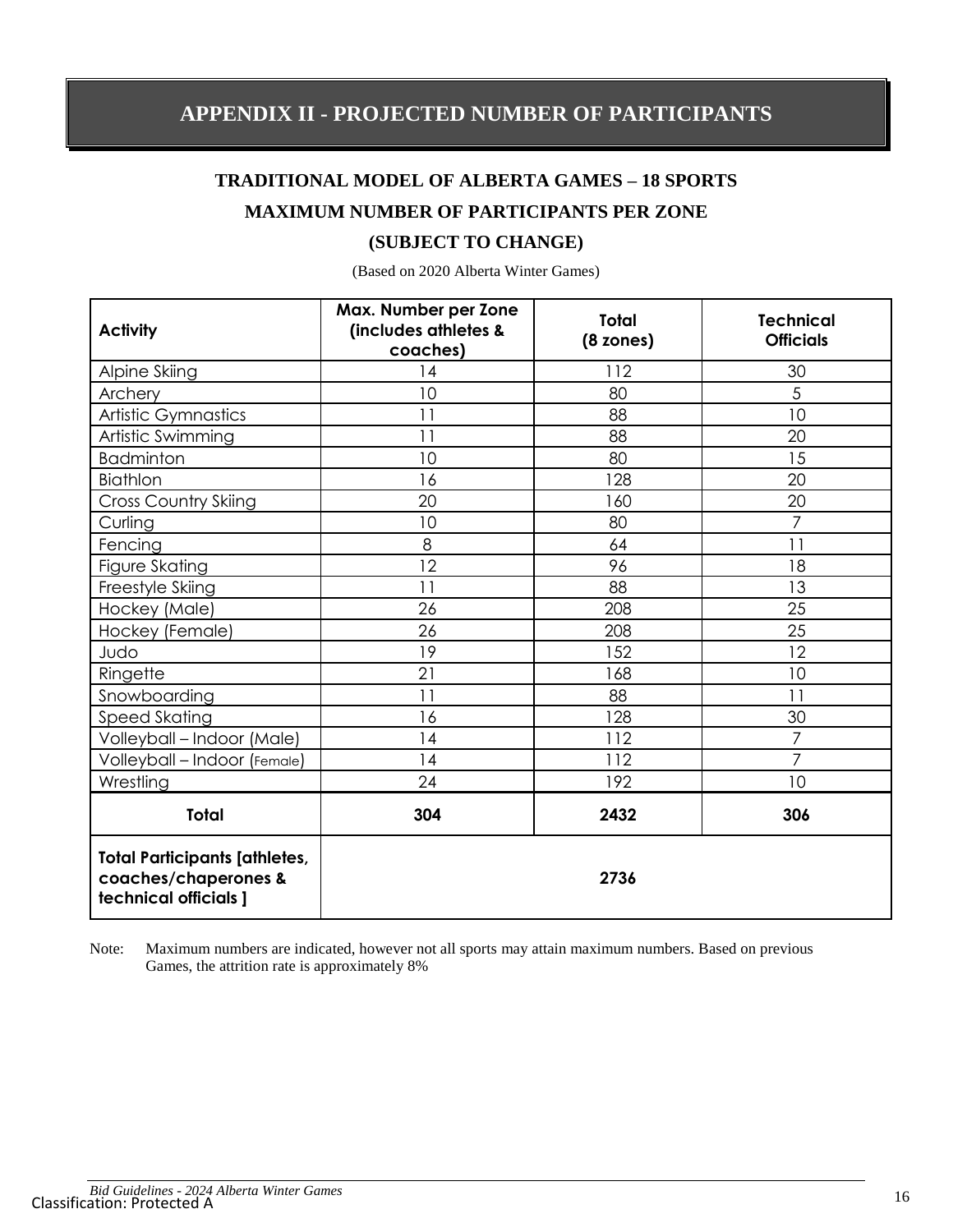# **TRADITIONAL MODEL OF ALBERTA GAMES – 18 SPORTS MAXIMUM NUMBER OF PARTICIPANTS PER ZONE**

## <span id="page-15-0"></span>**(SUBJECT TO CHANGE)**

(Based on 2020 Alberta Winter Games)

| <b>Activity</b>                                                                       | Max. Number per Zone<br>(includes athletes &<br>coaches) | <b>Total</b><br>$(8 \text{ zones})$ | <b>Technical</b><br><b>Officials</b> |
|---------------------------------------------------------------------------------------|----------------------------------------------------------|-------------------------------------|--------------------------------------|
| Alpine Skiing                                                                         | 14                                                       | 112                                 | 30                                   |
| Archery                                                                               | 10                                                       | 80                                  | 5                                    |
| Artistic Gymnastics                                                                   | 11                                                       | 88                                  | 10                                   |
| Artistic Swimming                                                                     | 11                                                       | 88                                  | 20                                   |
| <b>Badminton</b>                                                                      | 10                                                       | 80                                  | 15                                   |
| Biathlon                                                                              | 16                                                       | 128                                 | 20                                   |
| <b>Cross Country Skiing</b>                                                           | 20                                                       | 160                                 | 20                                   |
| Curling                                                                               | 10                                                       | 80                                  | $\overline{7}$                       |
| Fencing                                                                               | 8                                                        | 64                                  | 11                                   |
| Figure Skating                                                                        | 12                                                       | 96                                  | 18                                   |
| Freestyle Skiing                                                                      | 11                                                       | 88                                  | 13                                   |
| Hockey (Male)                                                                         | 26                                                       | 208                                 | 25                                   |
| Hockey (Female)                                                                       | 26                                                       | 208                                 | 25                                   |
| Judo                                                                                  | 19                                                       | 152                                 | 12                                   |
| Ringette                                                                              | 21                                                       | 168                                 | 10                                   |
| Snowboarding                                                                          | 11                                                       | 88                                  | 11                                   |
| Speed Skating                                                                         | 16                                                       | 128                                 | 30                                   |
| Volleyball - Indoor (Male)                                                            | 14                                                       | 112                                 | $\overline{7}$                       |
| Volleyball - Indoor (Female)                                                          | 14                                                       | 112                                 | $\overline{7}$                       |
| Wrestling                                                                             | 24                                                       | 192                                 | 10                                   |
| <b>Total</b>                                                                          | 304                                                      | 2432                                | 306                                  |
| <b>Total Participants [athletes,</b><br>coaches/chaperones &<br>technical officials ] |                                                          | 2736                                |                                      |

Note: Maximum numbers are indicated, however not all sports may attain maximum numbers. Based on previous Games, the attrition rate is approximately 8%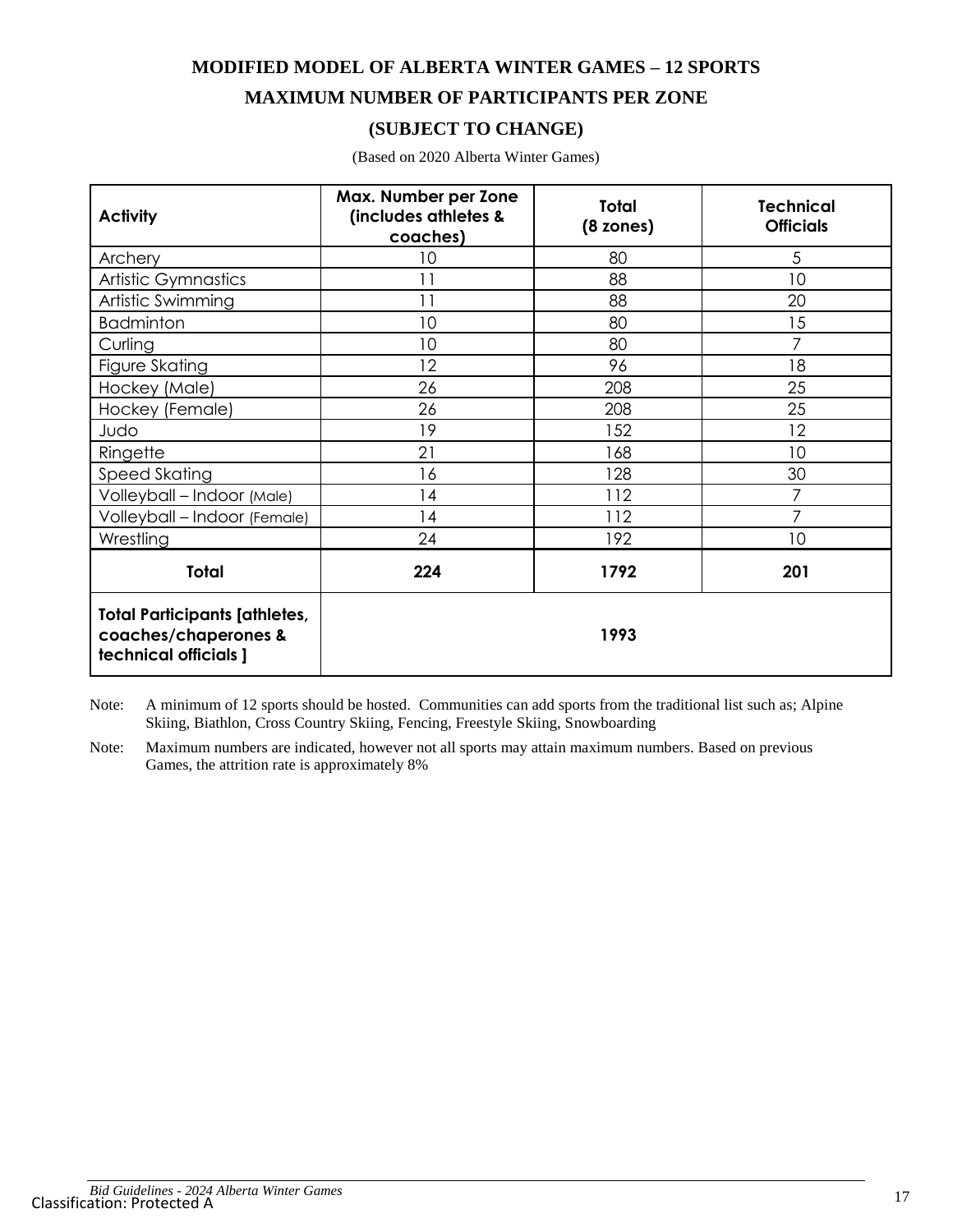**MODIFIED MODEL OF ALBERTA WINTER GAMES – 12 SPORTS MAXIMUM NUMBER OF PARTICIPANTS PER ZONE**

## **(SUBJECT TO CHANGE)**

| <b>Activity</b>                                                                       | Max. Number per Zone<br>(includes athletes &<br>coaches) | <b>Total</b><br>$(8 \text{ zones})$ | <b>Technical</b><br><b>Officials</b> |
|---------------------------------------------------------------------------------------|----------------------------------------------------------|-------------------------------------|--------------------------------------|
| Archery                                                                               | 10                                                       | 80                                  | 5                                    |
| Artistic Gymnastics                                                                   | 11                                                       | 88                                  | 10                                   |
| Artistic Swimming                                                                     | 11                                                       | 88                                  | 20                                   |
| <b>Badminton</b>                                                                      | 10                                                       | 80                                  | 15                                   |
| Curling                                                                               | 10                                                       | 80                                  | $\overline{7}$                       |
| Figure Skating                                                                        | 12                                                       | 96                                  | 18                                   |
| Hockey (Male)                                                                         | 26                                                       | 208                                 | 25                                   |
| Hockey (Female)                                                                       | 26                                                       | 208                                 | 25                                   |
| Judo                                                                                  | 19                                                       | 152                                 | 12                                   |
| Ringette                                                                              | 21                                                       | 168                                 | 10                                   |
| Speed Skating                                                                         | 16                                                       | 128                                 | 30                                   |
| Volleyball - Indoor (Male)                                                            | 14                                                       | 112                                 | 7                                    |
| Volleyball - Indoor (Female)                                                          | 4                                                        | 112                                 | 7                                    |
| Wrestling                                                                             | 24                                                       | 192                                 | 10                                   |
| <b>Total</b>                                                                          | 224                                                      | 1792                                | 201                                  |
| <b>Total Participants [athletes,</b><br>coaches/chaperones &<br>technical officials ] |                                                          | 1993                                |                                      |

(Based on 2020 Alberta Winter Games)

Note: A minimum of 12 sports should be hosted. Communities can add sports from the traditional list such as; Alpine Skiing, Biathlon, Cross Country Skiing, Fencing, Freestyle Skiing, Snowboarding

Note: Maximum numbers are indicated, however not all sports may attain maximum numbers. Based on previous Games, the attrition rate is approximately 8%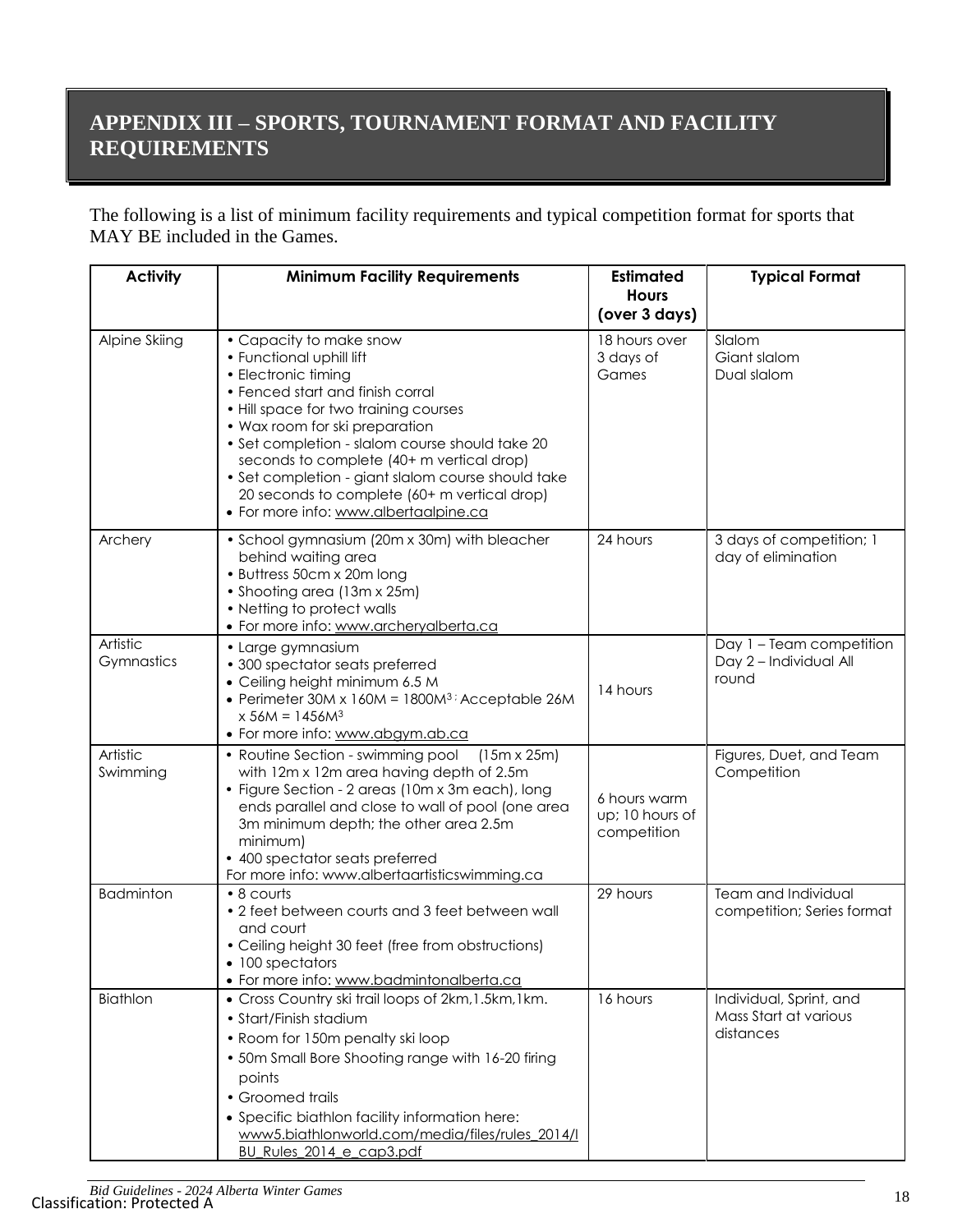# **APPENDIX III – SPORTS, TOURNAMENT FORMAT AND FACILITY REQUIREMENTS**

The following is a list of minimum facility requirements and typical competition format for sports that MAY BE included in the Games.

| <b>Activity</b>        | <b>Minimum Facility Requirements</b>                                                                                                                                                                                                                                                                                                                                                                                                     | <b>Estimated</b><br><b>Hours</b>               | <b>Typical Format</b>                                         |
|------------------------|------------------------------------------------------------------------------------------------------------------------------------------------------------------------------------------------------------------------------------------------------------------------------------------------------------------------------------------------------------------------------------------------------------------------------------------|------------------------------------------------|---------------------------------------------------------------|
|                        |                                                                                                                                                                                                                                                                                                                                                                                                                                          | (over 3 days)                                  |                                                               |
| Alpine Skiing          | • Capacity to make snow<br>• Functional uphill lift<br>• Electronic timing<br>• Fenced start and finish corral<br>• Hill space for two training courses<br>• Wax room for ski preparation<br>• Set completion - slalom course should take 20<br>seconds to complete (40+ m vertical drop)<br>• Set completion - giant slalom course should take<br>20 seconds to complete (60+ m vertical drop)<br>• For more info: www.albertaalpine.ca | 18 hours over<br>3 days of<br>Games            | Slalom<br>Giant slalom<br>Dual slalom                         |
| Archery                | • School gymnasium (20m x 30m) with bleacher<br>behind waiting area<br>• Buttress 50cm x 20m long<br>• Shooting area (13m x 25m)<br>• Netting to protect walls<br>• For more info: www.archeryalberta.ca                                                                                                                                                                                                                                 | 24 hours                                       | 3 days of competition; 1<br>day of elimination                |
| Artistic<br>Gymnastics | • Large gymnasium<br>• 300 spectator seats preferred<br>• Ceiling height minimum 6.5 M<br>• Perimeter $30M \times 160M = 1800M^3$ ; Acceptable 26M<br>$x 56M = 1456M3$<br>• For more info: www.abgym.ab.ca                                                                                                                                                                                                                               | 14 hours                                       | Day 1 - Team competition<br>Day 2 - Individual All<br>round   |
| Artistic<br>Swimming   | • Routine Section - swimming pool<br>$(15m \times 25m)$<br>with 12m x 12m area having depth of 2.5m<br>• Figure Section - 2 areas (10m x 3m each), long<br>ends parallel and close to wall of pool (one area<br>3m minimum depth; the other area 2.5m<br>minimum)<br>• 400 spectator seats preferred<br>For more info: www.albertaartisticswimming.ca                                                                                    | 6 hours warm<br>up; 10 hours of<br>competition | Figures, Duet, and Team<br>Competition                        |
| <b>Badminton</b>       | • 8 courts<br>• 2 feet between courts and 3 feet between wall<br>and court<br>• Ceiling height 30 feet (free from obstructions)<br>• 100 spectators<br>• For more info: www.badmintonalberta.ca                                                                                                                                                                                                                                          | 29 hours                                       | Team and Individual<br>competition; Series format             |
| Biathlon               | • Cross Country ski trail loops of 2km, 1.5km, 1km.<br>• Start/Finish stadium<br>• Room for 150m penalty skiloop<br>• 50m Small Bore Shooting range with 16-20 firing<br>points<br>• Groomed trails<br>• Specific biathlon facility information here:<br>www5.biathlonworld.com/media/files/rules_2014/l<br>BU Rules 2014 e cap3.pdf                                                                                                     | 16 hours                                       | Individual, Sprint, and<br>Mass Start at various<br>distances |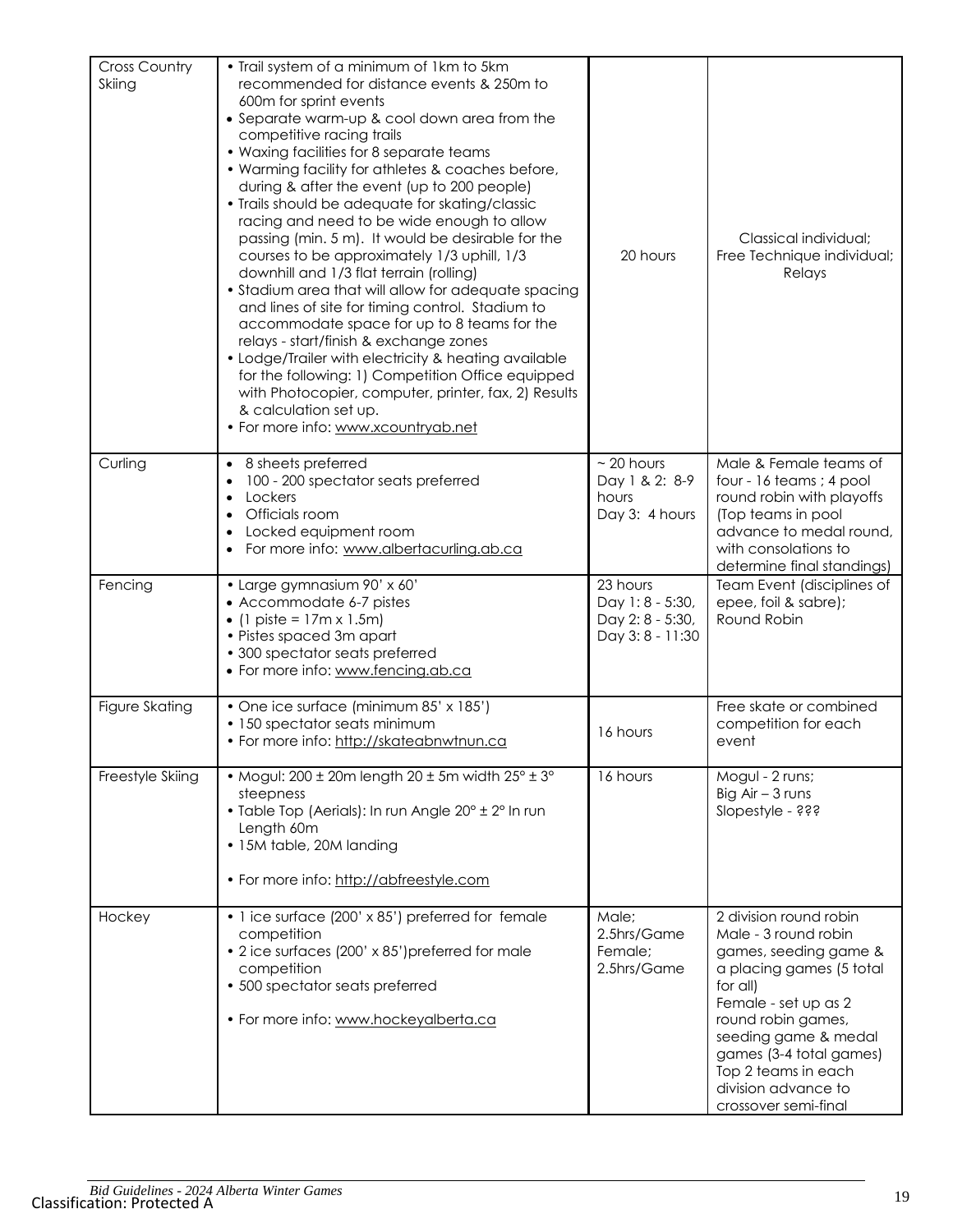| <b>Cross Country</b><br>Skiing | • Trail system of a minimum of 1km to 5km<br>recommended for distance events & 250m to<br>600m for sprint events<br>• Separate warm-up & cool down area from the<br>competitive racing trails<br>• Waxing facilities for 8 separate teams<br>• Warming facility for athletes & coaches before,<br>during & after the event (up to 200 people)<br>• Trails should be adequate for skating/classic<br>racing and need to be wide enough to allow<br>passing (min. 5 m). It would be desirable for the<br>courses to be approximately 1/3 uphill, 1/3<br>downhill and 1/3 flat terrain (rolling)<br>• Stadium area that will allow for adequate spacing<br>and lines of site for timing control. Stadium to<br>accommodate space for up to 8 teams for the<br>relays - start/finish & exchange zones<br>• Lodge/Trailer with electricity & heating available<br>for the following: 1) Competition Office equipped<br>with Photocopier, computer, printer, fax, 2) Results<br>& calculation set up.<br>• For more info: www.xcountryab.net | 20 hours                                                           | Classical individual;<br>Free Technique individual;<br>Relays                                                                                                                                                                                                                          |
|--------------------------------|----------------------------------------------------------------------------------------------------------------------------------------------------------------------------------------------------------------------------------------------------------------------------------------------------------------------------------------------------------------------------------------------------------------------------------------------------------------------------------------------------------------------------------------------------------------------------------------------------------------------------------------------------------------------------------------------------------------------------------------------------------------------------------------------------------------------------------------------------------------------------------------------------------------------------------------------------------------------------------------------------------------------------------------|--------------------------------------------------------------------|----------------------------------------------------------------------------------------------------------------------------------------------------------------------------------------------------------------------------------------------------------------------------------------|
| Curling                        | • 8 sheets preferred<br>100 - 200 spectator seats preferred<br>$\bullet$<br>Lockers<br>$\bullet$<br>Officials room<br>Locked equipment room<br>For more info: www.albertacurling.ab.ca                                                                                                                                                                                                                                                                                                                                                                                                                                                                                                                                                                                                                                                                                                                                                                                                                                                 | $\sim$ 20 hours<br>Day 1 & 2: 8-9<br>hours<br>Day 3: 4 hours       | Male & Female teams of<br>four - 16 teams ; 4 pool<br>round robin with playoffs<br>(Top teams in pool<br>advance to medal round,<br>with consolations to<br>determine final standings)                                                                                                 |
| Fencing                        | · Large gymnasium 90' x 60'<br>• Accommodate 6-7 pistes<br>• (1 piste = $17m \times 1.5m$ )<br>• Pistes spaced 3m apart<br>• 300 spectator seats preferred<br>• For more info: www.fencing.ab.ca                                                                                                                                                                                                                                                                                                                                                                                                                                                                                                                                                                                                                                                                                                                                                                                                                                       | 23 hours<br>Day 1:8 - 5:30,<br>Day 2: 8 - 5:30,<br>Day 3:8 - 11:30 | Team Event (disciplines of<br>epee, foil & sabre);<br>Round Robin                                                                                                                                                                                                                      |
| Figure Skating                 | • One ice surface (minimum 85' x 185')<br>• 150 spectator seats minimum<br>• For more info: http://skateabnwtnun.ca                                                                                                                                                                                                                                                                                                                                                                                                                                                                                                                                                                                                                                                                                                                                                                                                                                                                                                                    | 16 hours                                                           | Free skate or combined<br>competition for each<br>event                                                                                                                                                                                                                                |
| Freestyle Skiing               | • Mogul: $200 \pm 20$ m length $20 \pm 5$ m width $25^{\circ} \pm 3^{\circ}$<br>steepness<br>• Table Top (Aerials): In run Angle 20° ± 2° In run<br>Length 60m<br>• 15M table, 20M landing<br>• For more info: http://abfreestyle.com                                                                                                                                                                                                                                                                                                                                                                                                                                                                                                                                                                                                                                                                                                                                                                                                  | 16 hours                                                           | Mogul - 2 runs;<br>Big $Air - 3 runs$<br>Slopestyle - ???                                                                                                                                                                                                                              |
| Hockey                         | • 1 ice surface (200' x 85') preferred for female<br>competition<br>• 2 ice surfaces (200' x 85') preferred for male<br>competition<br>• 500 spectator seats preferred<br>• For more info: www.hockeyalberta.ca                                                                                                                                                                                                                                                                                                                                                                                                                                                                                                                                                                                                                                                                                                                                                                                                                        | Male;<br>2.5hrs/Game<br>Female;<br>2.5hrs/Game                     | 2 division round robin<br>Male - 3 round robin<br>games, seeding game &<br>a placing games (5 total<br>for all)<br>Female - set up as 2<br>round robin games,<br>seeding game & medal<br>games (3-4 total games)<br>Top 2 teams in each<br>division advance to<br>crossover semi-final |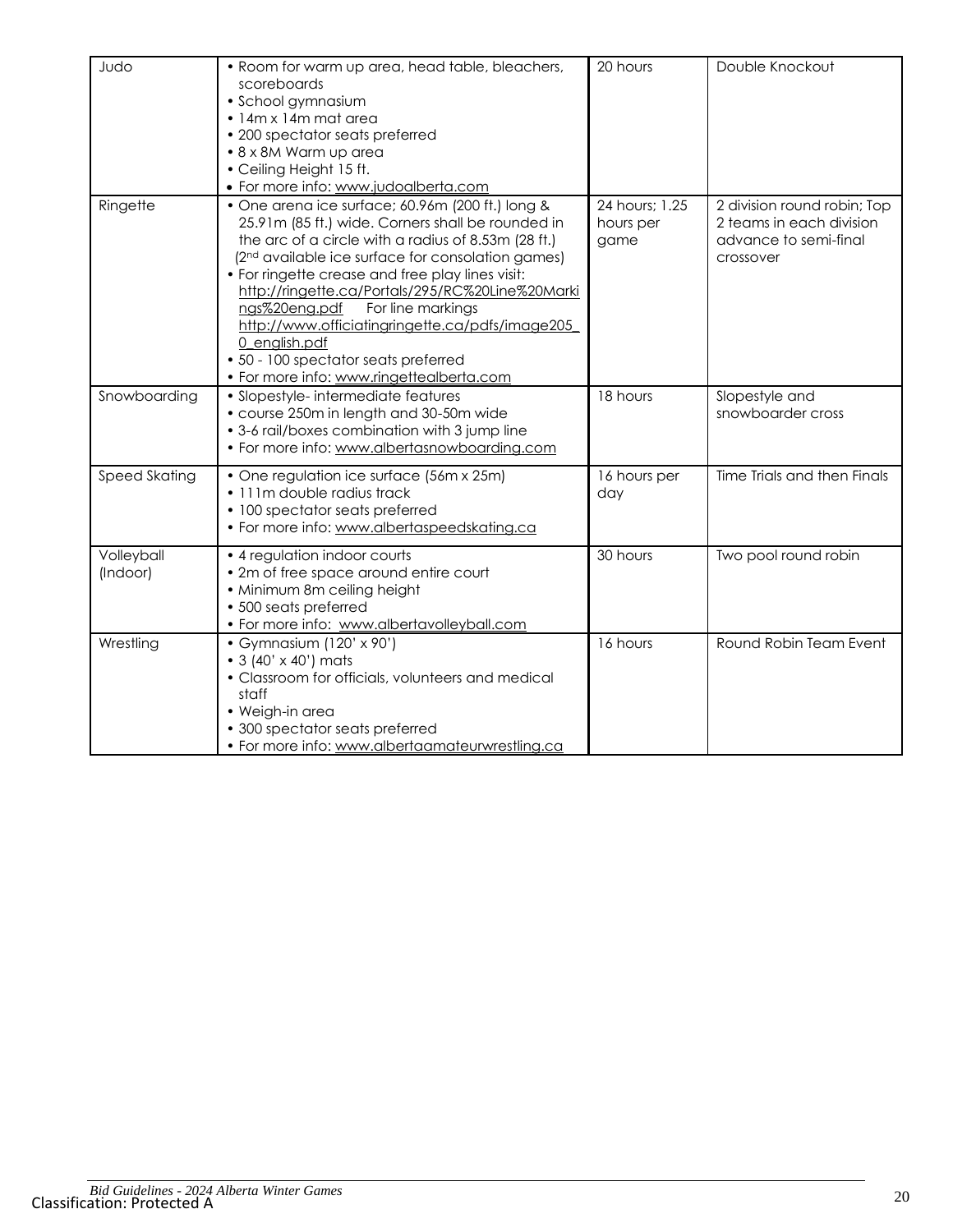| Judo                   | • Room for warm up area, head table, bleachers,<br>scoreboards<br>· School gymnasium<br>· 14m x 14m mat area<br>• 200 spectator seats preferred<br>• 8 x 8M Warm up area<br>• Ceiling Height 15 ft.<br>• For more info: www.judoalberta.com                                                                                                                                                                                                                                                                                         | 20 hours                            | Double Knockout                                                                               |
|------------------------|-------------------------------------------------------------------------------------------------------------------------------------------------------------------------------------------------------------------------------------------------------------------------------------------------------------------------------------------------------------------------------------------------------------------------------------------------------------------------------------------------------------------------------------|-------------------------------------|-----------------------------------------------------------------------------------------------|
| Ringette               | • One arena ice surface; 60.96m (200 ft.) long &<br>25.91m (85 ft.) wide. Corners shall be rounded in<br>the arc of a circle with a radius of 8.53m (28 ft.)<br>(2 <sup>nd</sup> available ice surface for consolation games)<br>• For ringette crease and free play lines visit:<br>http://ringette.ca/Portals/295/RC%20Line%20Marki<br>For line markings<br>ngs%20eng.pdf<br>http://www.officiatingringette.ca/pdfs/image205<br>0 english.pdf<br>• 50 - 100 spectator seats preferred<br>• For more info: www.ringettealberta.com | 24 hours; 1.25<br>hours per<br>game | 2 division round robin; Top<br>2 teams in each division<br>advance to semi-final<br>crossover |
| Snowboarding           | • Slopestyle- intermediate features<br>• course 250m in length and 30-50m wide<br>• 3-6 rail/boxes combination with 3 jump line<br>• For more info: www.albertasnowboarding.com                                                                                                                                                                                                                                                                                                                                                     | 18 hours                            | Slopestyle and<br>snowboarder cross                                                           |
| <b>Speed Skating</b>   | • One regulation ice surface (56m x 25m)<br>· 111m double radius track<br>• 100 spectator seats preferred<br>• For more info: www.albertaspeedskating.ca                                                                                                                                                                                                                                                                                                                                                                            | 16 hours per<br>day                 | Time Trials and then Finals                                                                   |
| Volleyball<br>(Indoor) | • 4 regulation indoor courts<br>• 2m of free space around entire court<br>• Minimum 8m ceiling height<br>• 500 seats preferred<br>• For more info: www.albertavolleyball.com                                                                                                                                                                                                                                                                                                                                                        | 30 hours                            | Two pool round robin                                                                          |
| Wrestling              | • Gymnasium (120' x 90')<br>• 3 (40' x 40') mats<br>• Classroom for officials, volunteers and medical<br>staff<br>• Weigh-in area<br>• 300 spectator seats preferred<br>• For more info: www.albertaamateurwrestling.ca                                                                                                                                                                                                                                                                                                             | 16 hours                            | Round Robin Team Event                                                                        |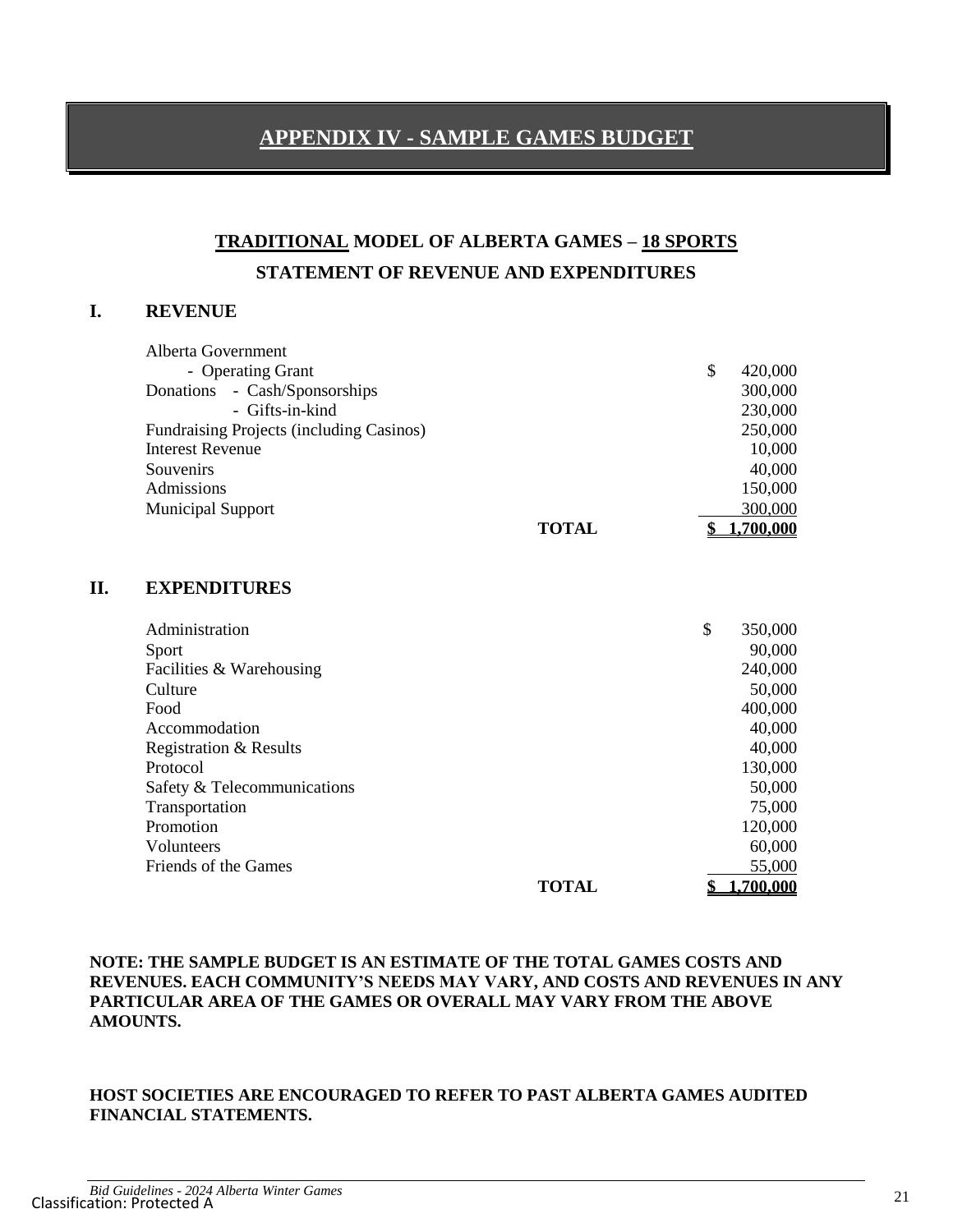## **APPENDIX IV - SAMPLE GAMES BUDGET**

# **TRADITIONAL MODEL OF ALBERTA GAMES – 18 SPORTS STATEMENT OF REVENUE AND EXPENDITURES**

#### **I. REVENUE**

| Alberta Government                       |                |
|------------------------------------------|----------------|
| - Operating Grant                        | 420,000<br>\$  |
| - Cash/Sponsorships<br>Donations         | 300,000        |
| - Gifts-in-kind                          | 230,000        |
| Fundraising Projects (including Casinos) | 250,000        |
| <b>Interest Revenue</b>                  | 10,000         |
| Souvenirs                                | 40,000         |
| Admissions                               | 150,000        |
| <b>Municipal Support</b>                 | 300,000        |
| <b>TOTAL</b>                             | <u>700.000</u> |

#### **II. EXPENDITURES**

| Administration                    |              | \$<br>350,000 |
|-----------------------------------|--------------|---------------|
| Sport                             |              | 90,000        |
| Facilities & Warehousing          |              | 240,000       |
| Culture                           |              | 50,000        |
| Food                              |              | 400,000       |
| Accommodation                     |              | 40,000        |
| <b>Registration &amp; Results</b> |              | 40,000        |
| Protocol                          |              | 130,000       |
| Safety & Telecommunications       |              | 50,000        |
| Transportation                    |              | 75,000        |
| Promotion                         |              | 120,000       |
| Volunteers                        |              | 60,000        |
| Friends of the Games              |              | 55,000        |
|                                   | <b>TOTAL</b> | ,700,000      |

#### **NOTE: THE SAMPLE BUDGET IS AN ESTIMATE OF THE TOTAL GAMES COSTS AND REVENUES. EACH COMMUNITY'S NEEDS MAY VARY, AND COSTS AND REVENUES IN ANY PARTICULAR AREA OF THE GAMES OR OVERALL MAY VARY FROM THE ABOVE AMOUNTS.**

#### **HOST SOCIETIES ARE ENCOURAGED TO REFER TO PAST ALBERTA GAMES AUDITED FINANCIAL STATEMENTS.**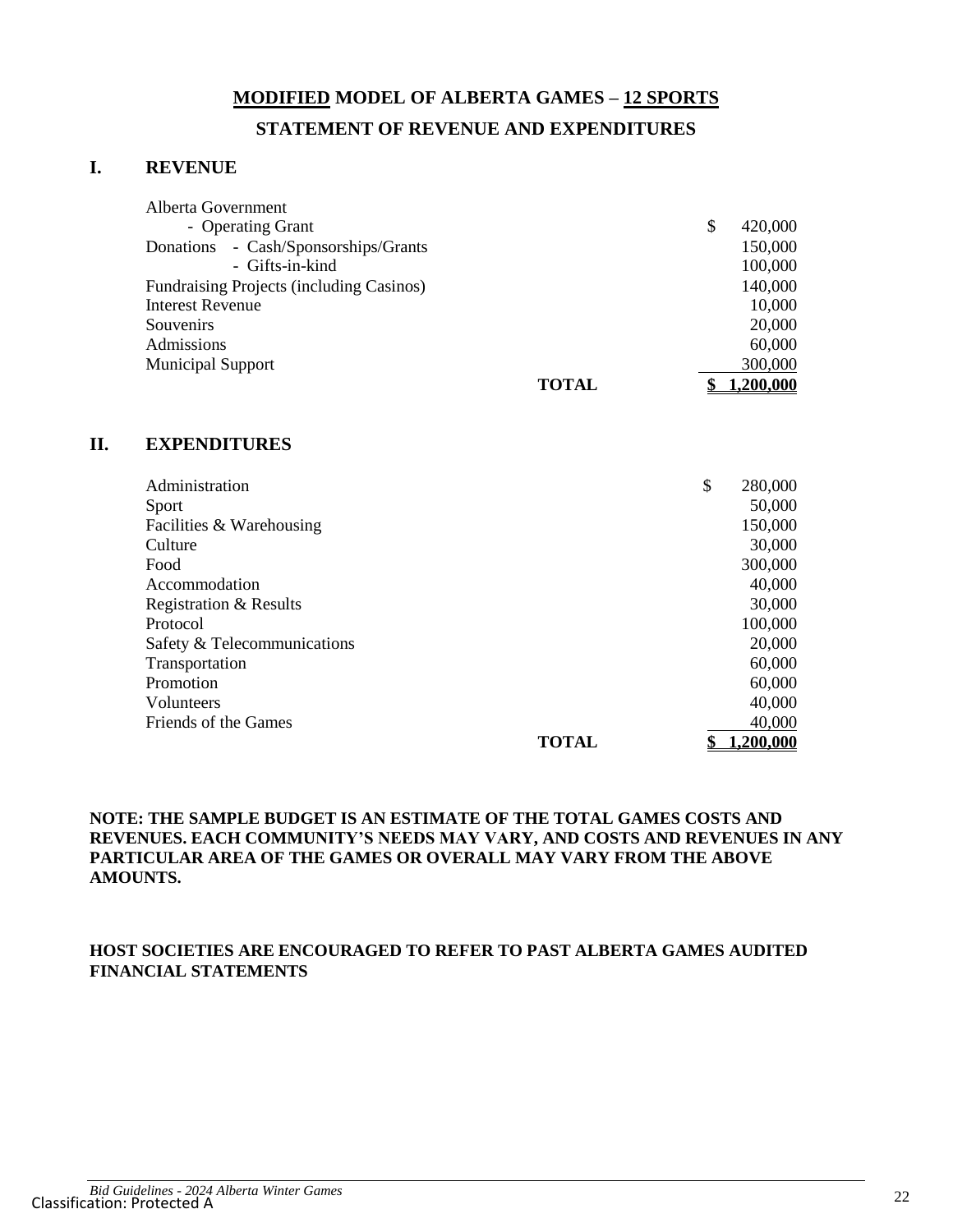# **MODIFIED MODEL OF ALBERTA GAMES – 12 SPORTS STATEMENT OF REVENUE AND EXPENDITURES**

#### **I. REVENUE**

| Alberta Government                       |   |           |
|------------------------------------------|---|-----------|
| - Operating Grant                        | S | 420,000   |
| Donations - Cash/Sponsorships/Grants     |   | 150,000   |
| - Gifts-in-kind                          |   | 100,000   |
| Fundraising Projects (including Casinos) |   | 140,000   |
| Interest Revenue                         |   | 10,000    |
| Souvenirs                                |   | 20,000    |
| Admissions                               |   | 60,000    |
| <b>Municipal Support</b>                 |   | 300,000   |
| <b>TOTAL</b>                             |   | 1,200,000 |

#### **II. EXPENDITURES**

| Administration              |              | \$<br>280,000 |
|-----------------------------|--------------|---------------|
| Sport                       |              | 50,000        |
| Facilities & Warehousing    |              | 150,000       |
| Culture                     |              | 30,000        |
| Food                        |              | 300,000       |
| Accommodation               |              | 40,000        |
| Registration & Results      |              | 30,000        |
| Protocol                    |              | 100,000       |
| Safety & Telecommunications |              | 20,000        |
| Transportation              |              | 60,000        |
| Promotion                   |              | 60,000        |
| Volunteers                  |              | 40,000        |
| Friends of the Games        |              | 40,000        |
|                             | <b>TOTAL</b> | 1,200,000     |

#### **NOTE: THE SAMPLE BUDGET IS AN ESTIMATE OF THE TOTAL GAMES COSTS AND REVENUES. EACH COMMUNITY'S NEEDS MAY VARY, AND COSTS AND REVENUES IN ANY PARTICULAR AREA OF THE GAMES OR OVERALL MAY VARY FROM THE ABOVE AMOUNTS.**

#### **HOST SOCIETIES ARE ENCOURAGED TO REFER TO PAST ALBERTA GAMES AUDITED FINANCIAL STATEMENTS**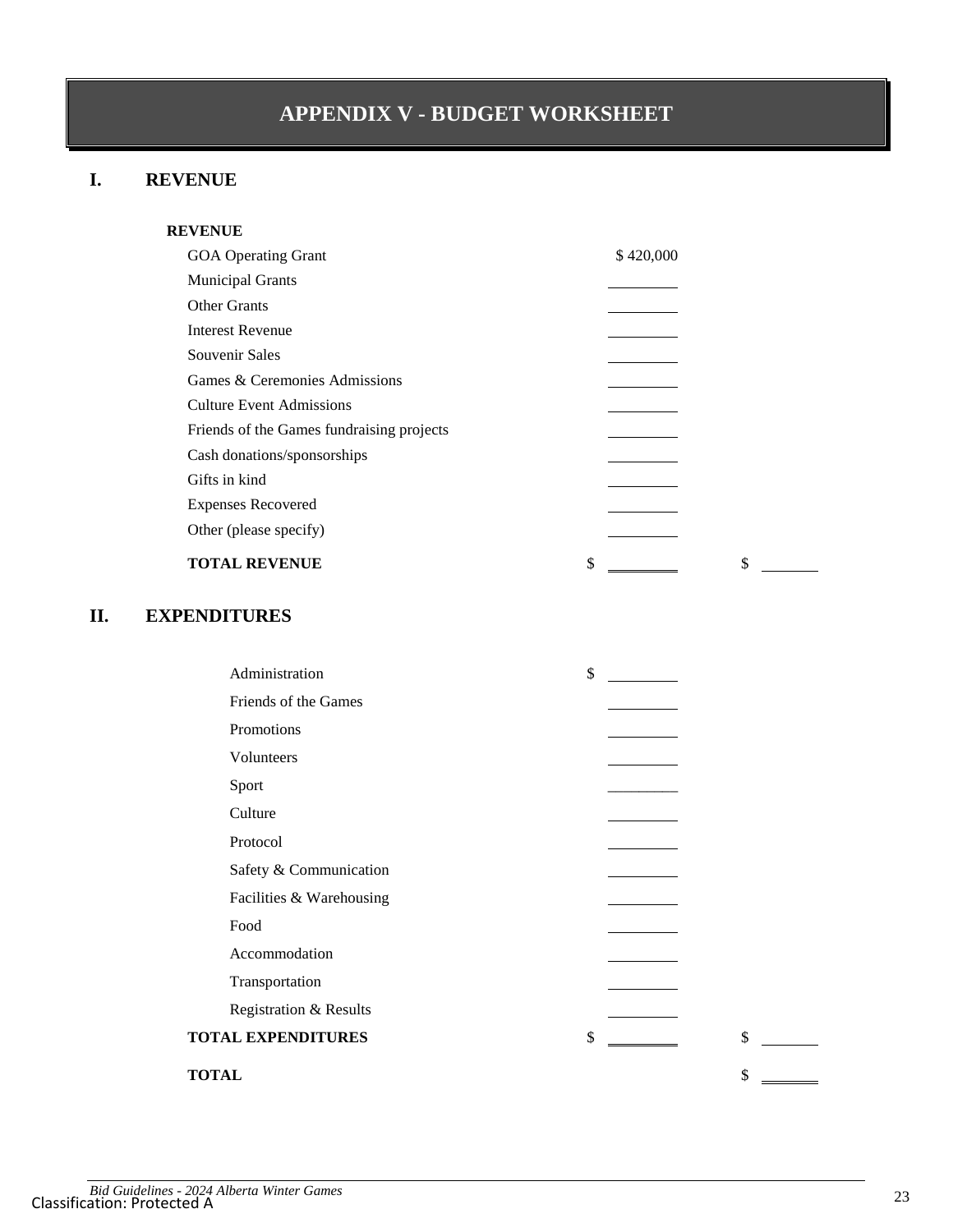# **APPENDIX V - BUDGET WORKSHEET**

## **I. REVENUE**

| <b>REVENUE</b>                            |           |
|-------------------------------------------|-----------|
| <b>GOA Operating Grant</b>                | \$420,000 |
| <b>Municipal Grants</b>                   |           |
| <b>Other Grants</b>                       |           |
| <b>Interest Revenue</b>                   |           |
| Souvenir Sales                            |           |
| Games & Ceremonies Admissions             |           |
| <b>Culture Event Admissions</b>           |           |
| Friends of the Games fundraising projects |           |
| Cash donations/sponsorships               |           |
| Gifts in kind                             |           |
| <b>Expenses Recovered</b>                 |           |
| Other (please specify)                    |           |
| <b>TOTAL REVENUE</b>                      | \$<br>\$  |

## **II. EXPENDITURES**

|              | Administration            | \$ |    |  |
|--------------|---------------------------|----|----|--|
|              | Friends of the Games      |    |    |  |
|              | Promotions                |    |    |  |
|              | Volunteers                |    |    |  |
|              | Sport                     |    |    |  |
|              | Culture                   |    |    |  |
|              | Protocol                  |    |    |  |
|              | Safety & Communication    |    |    |  |
|              | Facilities & Warehousing  |    |    |  |
|              | Food                      |    |    |  |
|              | Accommodation             |    |    |  |
|              | Transportation            |    |    |  |
|              | Registration & Results    |    |    |  |
|              | <b>TOTAL EXPENDITURES</b> | \$ | \$ |  |
| <b>TOTAL</b> |                           |    | \$ |  |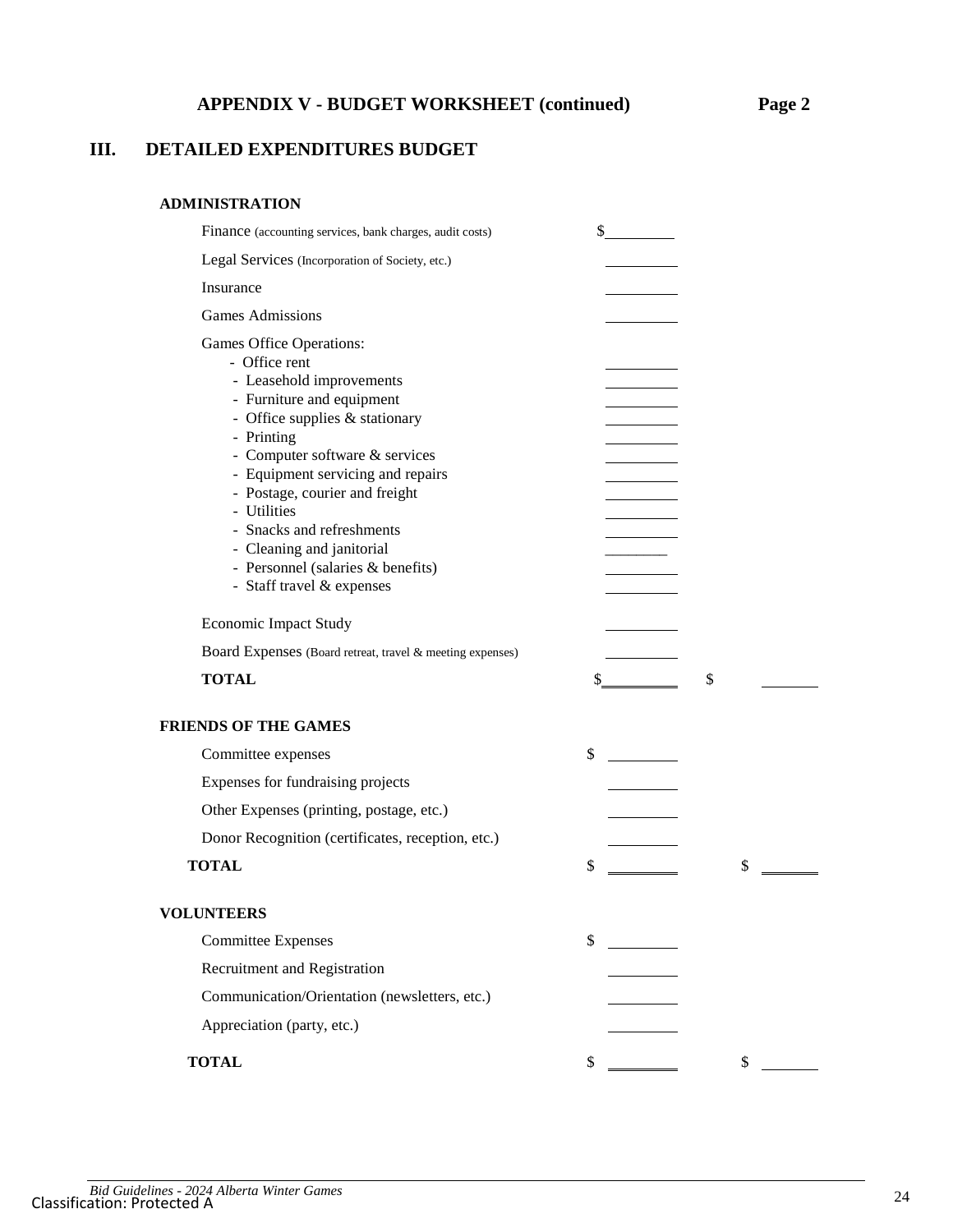## **III. DETAILED EXPENDITURES BUDGET**

#### **ADMINISTRATION**

| Finance (accounting services, bank charges, audit costs)                                                                                                                                                                                                                                                                                                                                               | \$                                                                                                                                                                                                                                                                                                                                                                           |    |
|--------------------------------------------------------------------------------------------------------------------------------------------------------------------------------------------------------------------------------------------------------------------------------------------------------------------------------------------------------------------------------------------------------|------------------------------------------------------------------------------------------------------------------------------------------------------------------------------------------------------------------------------------------------------------------------------------------------------------------------------------------------------------------------------|----|
| Legal Services (Incorporation of Society, etc.)                                                                                                                                                                                                                                                                                                                                                        |                                                                                                                                                                                                                                                                                                                                                                              |    |
| Insurance                                                                                                                                                                                                                                                                                                                                                                                              |                                                                                                                                                                                                                                                                                                                                                                              |    |
| <b>Games Admissions</b>                                                                                                                                                                                                                                                                                                                                                                                |                                                                                                                                                                                                                                                                                                                                                                              |    |
| Games Office Operations:<br>- Office rent<br>- Leasehold improvements<br>- Furniture and equipment<br>- Office supplies & stationary<br>- Printing<br>- Computer software & services<br>- Equipment servicing and repairs<br>- Postage, courier and freight<br>- Utilities<br>- Snacks and refreshments<br>- Cleaning and janitorial<br>- Personnel (salaries & benefits)<br>- Staff travel & expenses |                                                                                                                                                                                                                                                                                                                                                                              |    |
| <b>Economic Impact Study</b>                                                                                                                                                                                                                                                                                                                                                                           |                                                                                                                                                                                                                                                                                                                                                                              |    |
| Board Expenses (Board retreat, travel & meeting expenses)                                                                                                                                                                                                                                                                                                                                              |                                                                                                                                                                                                                                                                                                                                                                              |    |
| <b>TOTAL</b>                                                                                                                                                                                                                                                                                                                                                                                           | $\frac{\S_{\frac{1}{2}}}{\S_{\frac{1}{2}}}{\S_{\frac{1}{2}}}{\S_{\frac{1}{2}}}{\S_{\frac{1}{2}}}{\S_{\frac{1}{2}}}{\S_{\frac{1}{2}}}{\S_{\frac{1}{2}}}{\S_{\frac{1}{2}}}{\S_{\frac{1}{2}}}{\S_{\frac{1}{2}}}{\S_{\frac{1}{2}}}{\S_{\frac{1}{2}}}{\S_{\frac{1}{2}}}{\S_{\frac{1}{2}}}{\S_{\frac{1}{2}}}{\S_{\frac{1}{2}}}{\S_{\frac{1}{2}}}{\S_{\frac{1}{2}}}{\S_{\frac{1}{2$ | \$ |
| <b>FRIENDS OF THE GAMES</b>                                                                                                                                                                                                                                                                                                                                                                            |                                                                                                                                                                                                                                                                                                                                                                              |    |
| Committee expenses                                                                                                                                                                                                                                                                                                                                                                                     | \$                                                                                                                                                                                                                                                                                                                                                                           |    |
| Expenses for fundraising projects                                                                                                                                                                                                                                                                                                                                                                      |                                                                                                                                                                                                                                                                                                                                                                              |    |
| Other Expenses (printing, postage, etc.)                                                                                                                                                                                                                                                                                                                                                               |                                                                                                                                                                                                                                                                                                                                                                              |    |
| Donor Recognition (certificates, reception, etc.)                                                                                                                                                                                                                                                                                                                                                      |                                                                                                                                                                                                                                                                                                                                                                              |    |
| <b>TOTAL</b>                                                                                                                                                                                                                                                                                                                                                                                           | \$                                                                                                                                                                                                                                                                                                                                                                           | \$ |
| <b>VOLUNTEERS</b>                                                                                                                                                                                                                                                                                                                                                                                      |                                                                                                                                                                                                                                                                                                                                                                              |    |
| <b>Committee Expenses</b>                                                                                                                                                                                                                                                                                                                                                                              | \$                                                                                                                                                                                                                                                                                                                                                                           |    |
| Recruitment and Registration                                                                                                                                                                                                                                                                                                                                                                           |                                                                                                                                                                                                                                                                                                                                                                              |    |
| Communication/Orientation (newsletters, etc.)                                                                                                                                                                                                                                                                                                                                                          |                                                                                                                                                                                                                                                                                                                                                                              |    |
| Appreciation (party, etc.)                                                                                                                                                                                                                                                                                                                                                                             |                                                                                                                                                                                                                                                                                                                                                                              |    |
| <b>TOTAL</b>                                                                                                                                                                                                                                                                                                                                                                                           | \$                                                                                                                                                                                                                                                                                                                                                                           | \$ |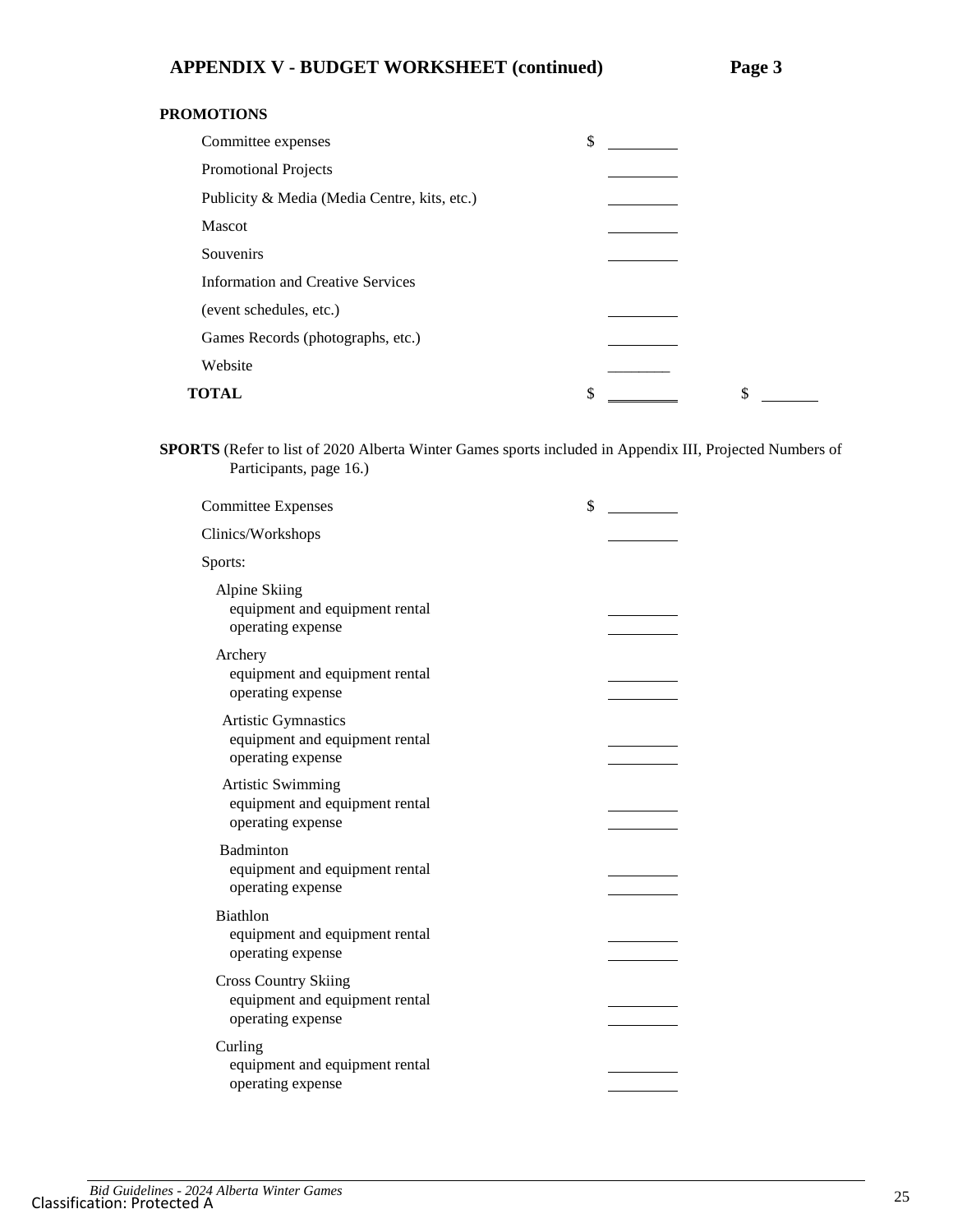#### **PROMOTIONS**

| Committee expenses                           | \$       |  |
|----------------------------------------------|----------|--|
| Promotional Projects                         |          |  |
| Publicity & Media (Media Centre, kits, etc.) |          |  |
| <b>Mascot</b>                                |          |  |
| Souvenirs                                    |          |  |
| <b>Information and Creative Services</b>     |          |  |
| (event schedules, etc.)                      |          |  |
| Games Records (photographs, etc.)            |          |  |
| Website                                      |          |  |
| <b>TOTAL</b>                                 | \$<br>\$ |  |

**SPORTS** (Refer to list of 2020 Alberta Winter Games sports included in Appendix III, Projected Numbers of Participants, page [16.](#page-15-0))

| <b>Committee Expenses</b>                                                          | \$ |
|------------------------------------------------------------------------------------|----|
| Clinics/Workshops                                                                  |    |
| Sports:                                                                            |    |
| Alpine Skiing<br>equipment and equipment rental<br>operating expense               |    |
| Archery<br>equipment and equipment rental<br>operating expense                     |    |
| Artistic Gymnastics<br>equipment and equipment rental<br>operating expense         |    |
| <b>Artistic Swimming</b><br>equipment and equipment rental<br>operating expense    |    |
| Badminton<br>equipment and equipment rental<br>operating expense                   |    |
| <b>Biathlon</b><br>equipment and equipment rental<br>operating expense             |    |
| <b>Cross Country Skiing</b><br>equipment and equipment rental<br>operating expense |    |
| Curling<br>equipment and equipment rental<br>operating expense                     |    |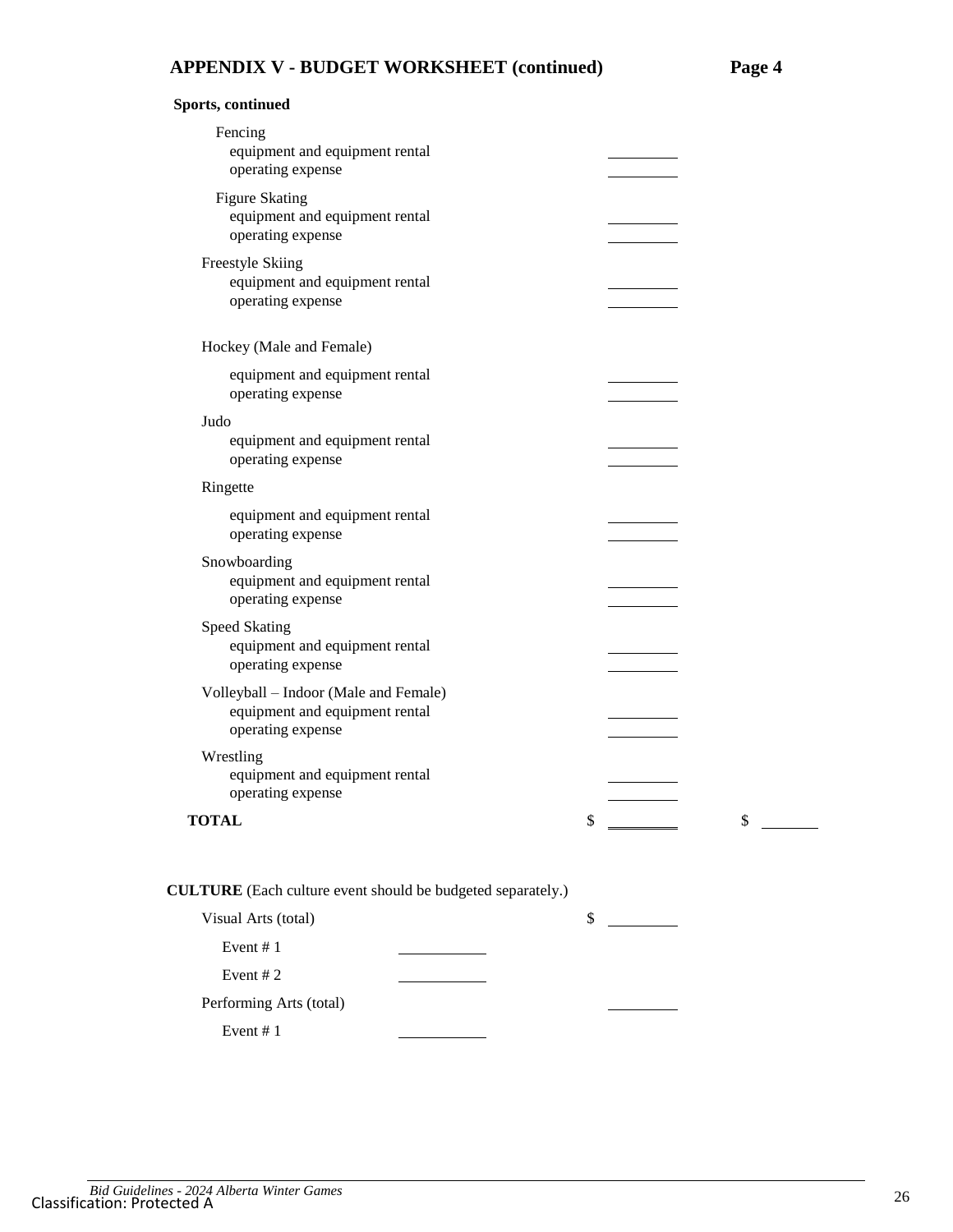**Sports, continued**

| Fencing<br>equipment and equipment rental<br>operating expense                               |    |    |
|----------------------------------------------------------------------------------------------|----|----|
| <b>Figure Skating</b><br>equipment and equipment rental<br>operating expense                 |    |    |
| Freestyle Skiing<br>equipment and equipment rental<br>operating expense                      |    |    |
| Hockey (Male and Female)                                                                     |    |    |
| equipment and equipment rental<br>operating expense                                          |    |    |
| Judo                                                                                         |    |    |
| equipment and equipment rental<br>operating expense                                          |    |    |
| Ringette                                                                                     |    |    |
| equipment and equipment rental<br>operating expense                                          |    |    |
| Snowboarding<br>equipment and equipment rental<br>operating expense                          |    |    |
| <b>Speed Skating</b><br>equipment and equipment rental<br>operating expense                  |    |    |
| Volleyball - Indoor (Male and Female)<br>equipment and equipment rental<br>operating expense |    |    |
| Wrestling<br>equipment and equipment rental<br>operating expense                             |    |    |
| <b>TOTAL</b>                                                                                 | \$ | \$ |
| <b>CULTURE</b> (Each culture event should be budgeted separately.)                           |    |    |
| Visual Arts (total)                                                                          | \$ |    |
| Event #1                                                                                     |    |    |
| Event #2                                                                                     |    |    |
| Performing Arts (total)                                                                      |    |    |
| Event #1                                                                                     |    |    |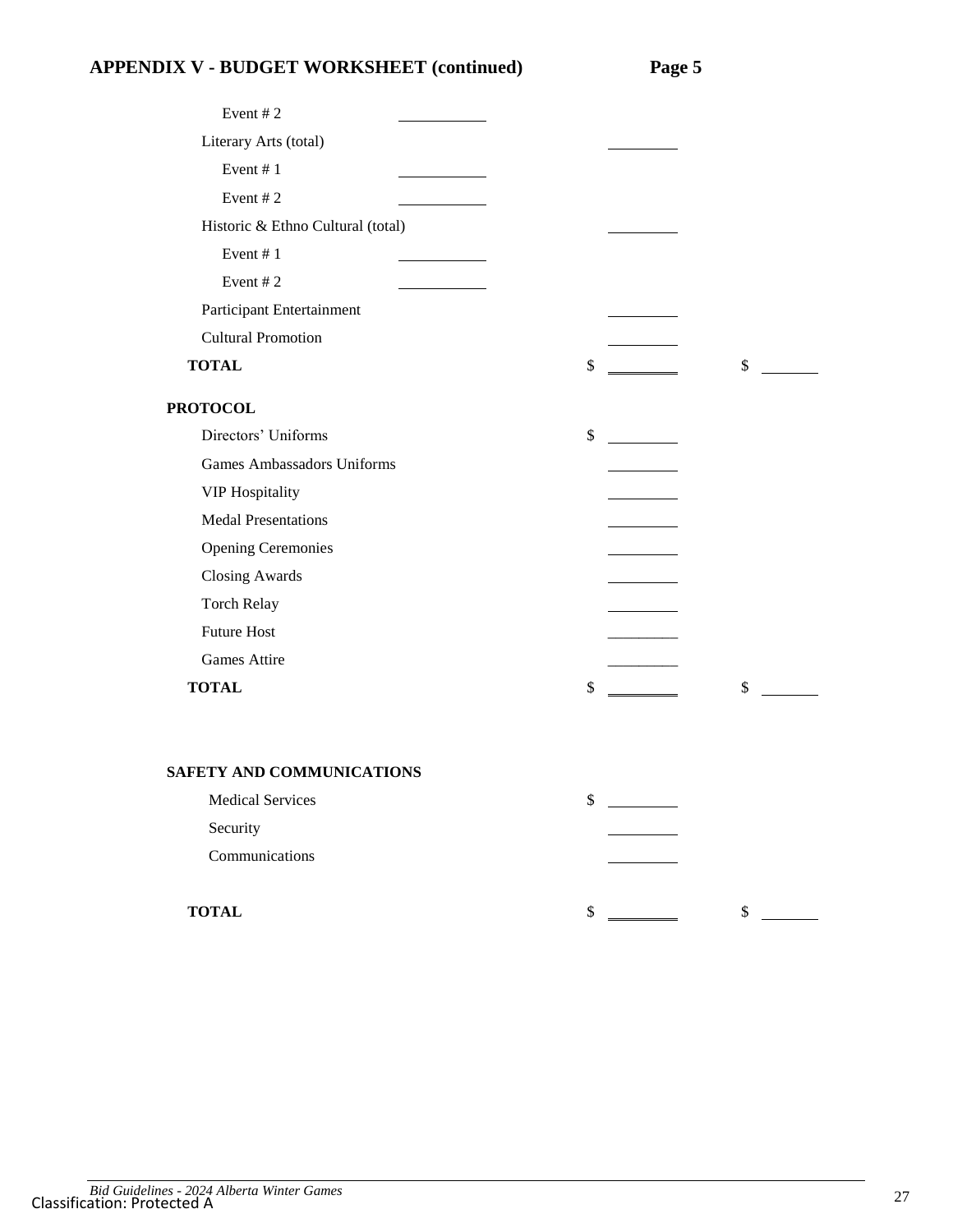# **APPENDIX V - BUDGET WORKSHEET (continued) Page 5**

| Event #2                          |      |    |  |
|-----------------------------------|------|----|--|
| Literary Arts (total)             |      |    |  |
| Event #1                          |      |    |  |
| Event #2                          |      |    |  |
| Historic & Ethno Cultural (total) |      |    |  |
| Event #1                          |      |    |  |
| Event #2                          |      |    |  |
| Participant Entertainment         |      |    |  |
| <b>Cultural Promotion</b>         |      |    |  |
| <b>TOTAL</b>                      | \$   | \$ |  |
| <b>PROTOCOL</b>                   |      |    |  |
| Directors' Uniforms               | \$   |    |  |
| <b>Games Ambassadors Uniforms</b> |      |    |  |
| <b>VIP Hospitality</b>            |      |    |  |
| <b>Medal Presentations</b>        |      |    |  |
| <b>Opening Ceremonies</b>         |      |    |  |
| <b>Closing Awards</b>             |      |    |  |
| Torch Relay                       |      |    |  |
| <b>Future Host</b>                |      |    |  |
| Games Attire                      |      |    |  |
| <b>TOTAL</b>                      | \$   | \$ |  |
| SAFETY AND COMMUNICATIONS         |      |    |  |
| <b>Medical Services</b>           | \$   |    |  |
| Security                          |      |    |  |
| Communications                    |      |    |  |
| <b>TOTAL</b>                      | $\,$ | \$ |  |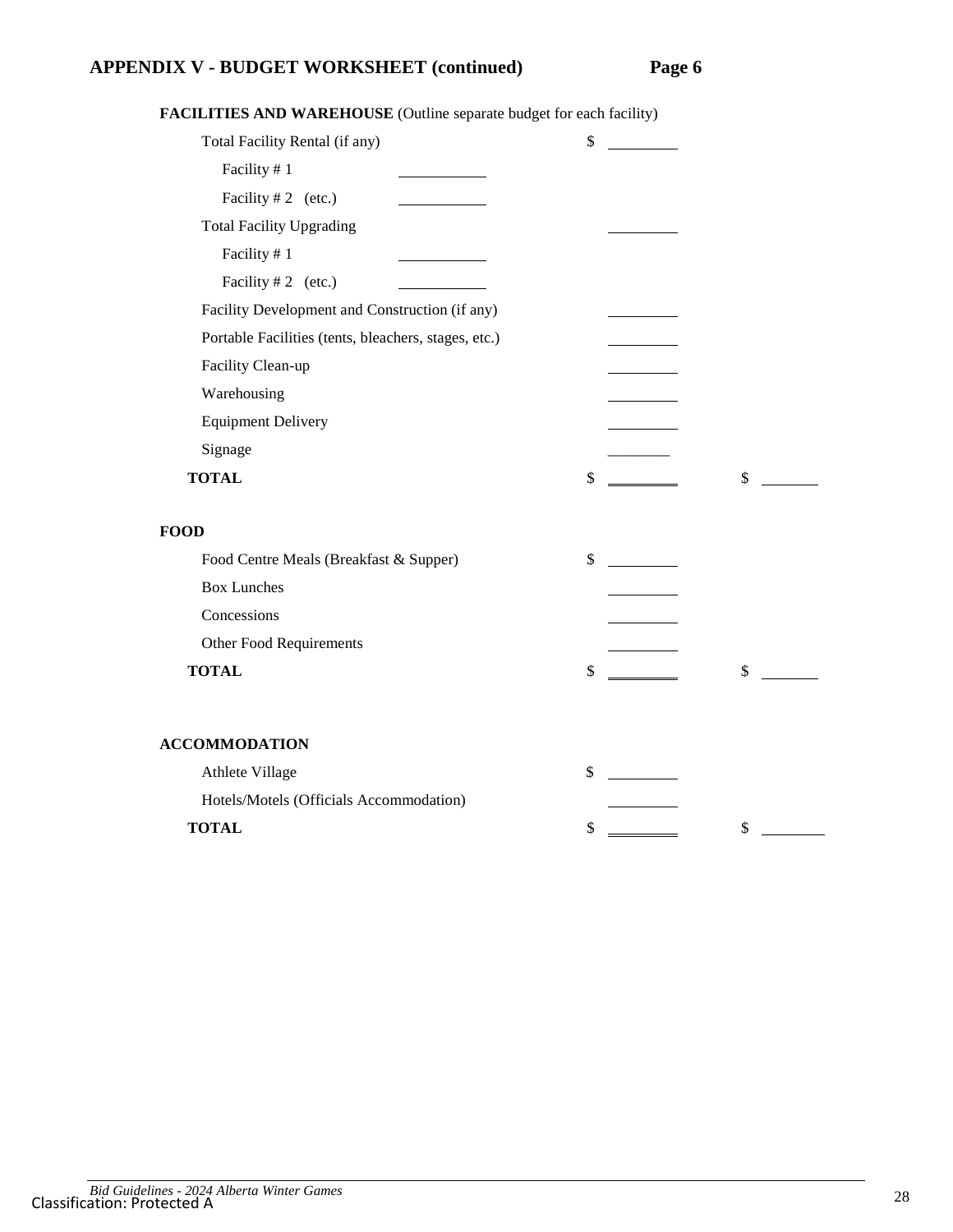## **APPENDIX V - BUDGET WORKSHEET (continued) Page 6**

| Total Facility Rental (if any)                       | \$       |
|------------------------------------------------------|----------|
| Facility #1                                          |          |
| Facility # 2 (etc.)                                  |          |
| <b>Total Facility Upgrading</b>                      |          |
| Facility #1                                          |          |
| Facility #2 (etc.)                                   |          |
| Facility Development and Construction (if any)       |          |
| Portable Facilities (tents, bleachers, stages, etc.) |          |
| Facility Clean-up                                    |          |
| Warehousing                                          |          |
| <b>Equipment Delivery</b>                            |          |
| Signage                                              |          |
| <b>TOTAL</b>                                         | \$<br>\$ |
| FOOD                                                 |          |
| Food Centre Meals (Breakfast & Supper)               | \$       |
| <b>Box Lunches</b>                                   |          |
| Concessions                                          |          |
| Other Food Requirements                              |          |
| <b>TOTAL</b>                                         | \$<br>\$ |
|                                                      |          |
| <b>ACCOMMODATION</b>                                 |          |
| Athlete Village                                      | \$       |
| Hotels/Motels (Officials Accommodation)              |          |
| <b>TOTAL</b>                                         | \$<br>\$ |

**FACILITIES AND WAREHOUSE** (Outline separate budget for each facility)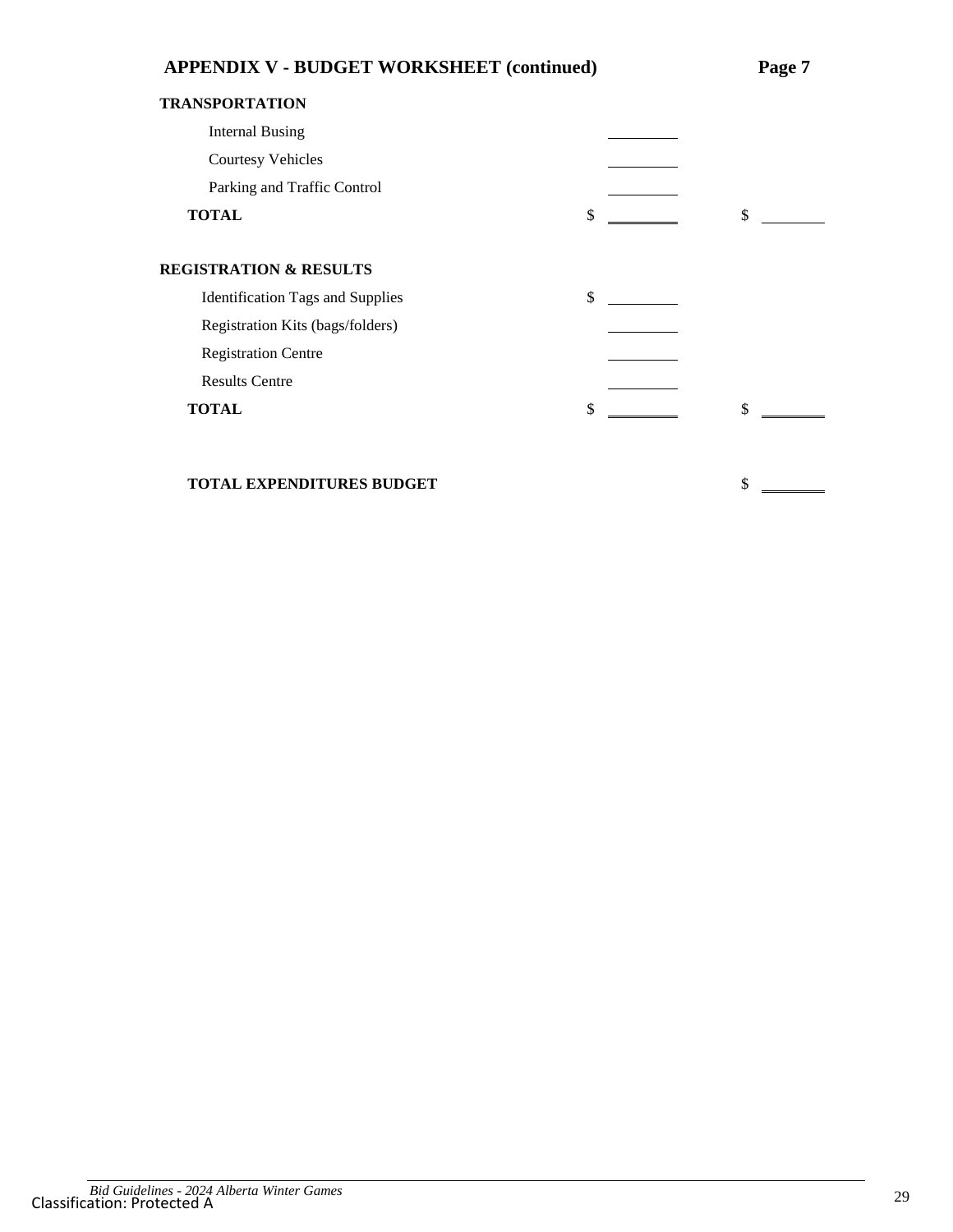| <b>APPENDIX V - BUDGET WORKSHEET (continued)</b> | Page 7 |    |
|--------------------------------------------------|--------|----|
| <b>TRANSPORTATION</b>                            |        |    |
| <b>Internal Busing</b>                           |        |    |
| <b>Courtesy Vehicles</b>                         |        |    |
| Parking and Traffic Control                      |        |    |
| <b>TOTAL</b>                                     | \$     | \$ |
| <b>REGISTRATION &amp; RESULTS</b>                |        |    |
| <b>Identification Tags and Supplies</b>          | \$     |    |
| Registration Kits (bags/folders)                 |        |    |
| <b>Registration Centre</b>                       |        |    |
| <b>Results Centre</b>                            |        |    |
| <b>TOTAL</b>                                     | \$     | \$ |
|                                                  |        |    |
| <b>TOTAL EXPENDITURES BUDGET</b>                 |        | \$ |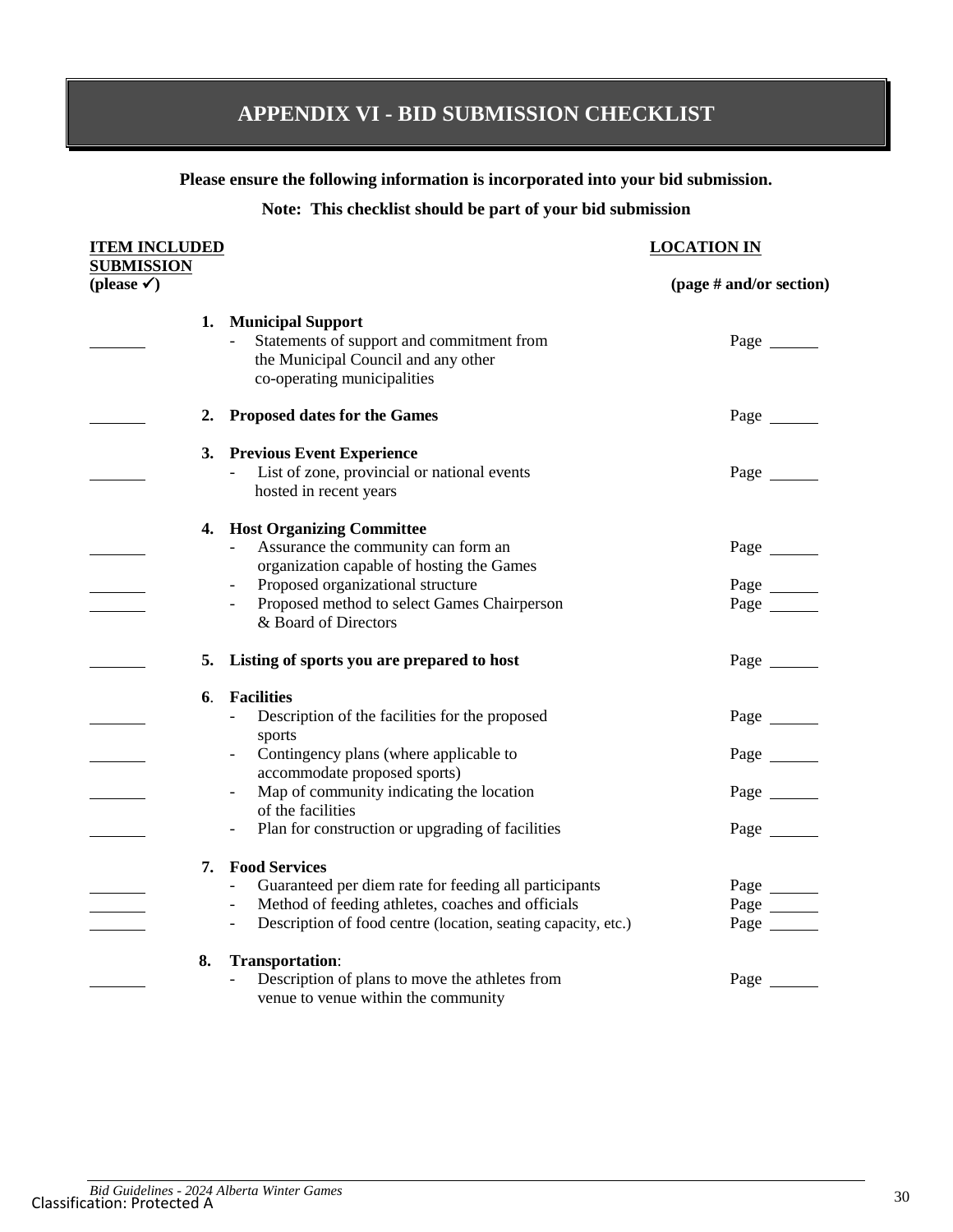# **APPENDIX VI - BID SUBMISSION CHECKLIST**

#### **Please ensure the following information is incorporated into your bid submission.**

#### **Note: This checklist should be part of your bid submission**

## **ITEM INCLUDED LOCATION IN SUBMISSION (please ) (page # and/or section) 1. Municipal Support** Statements of support and commitment from Page Page the Municipal Council and any other co-operating municipalities **2. Proposed dates for the Games** Page Page Page **3. Previous Event Experience** List of zone, provincial or national events Page hosted in recent years **4. Host Organizing Committee** Assurance the community can form an Page organization capable of hosting the Games - Proposed organizational structure Page Page Proposed method to select Games Chairperson Page & Board of Directors **5. Listing of sports you are prepared to host** Page **6**. **Facilities** - Description of the facilities for the proposed Page Page sports - Contingency plans (where applicable to Page accommodate proposed sports) - Map of community indicating the location Page of the facilities - Plan for construction or upgrading of facilities Page Page **7. Food Services** - Guaranteed per diem rate for feeding all participants Page - Method of feeding athletes, coaches and officials Page - Description of food centre (location, seating capacity, etc.) Page \_\_\_\_\_\_ **8. Transportation**: Description of plans to move the athletes from Page venue to venue within the community